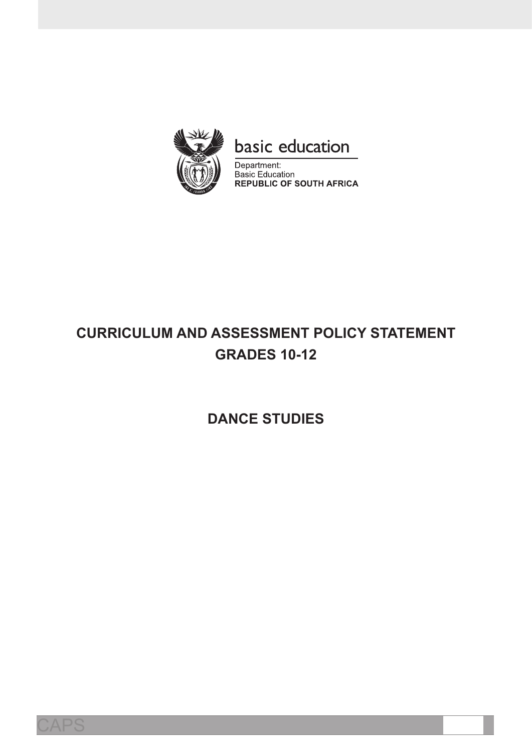

# basic education

Department: Basic Education **REPUBLIC OF SOUTH AFRICA** 

# **Curriculum and Assessment Policy Statement GRADES 10-12**

**DANCE STUDIES**

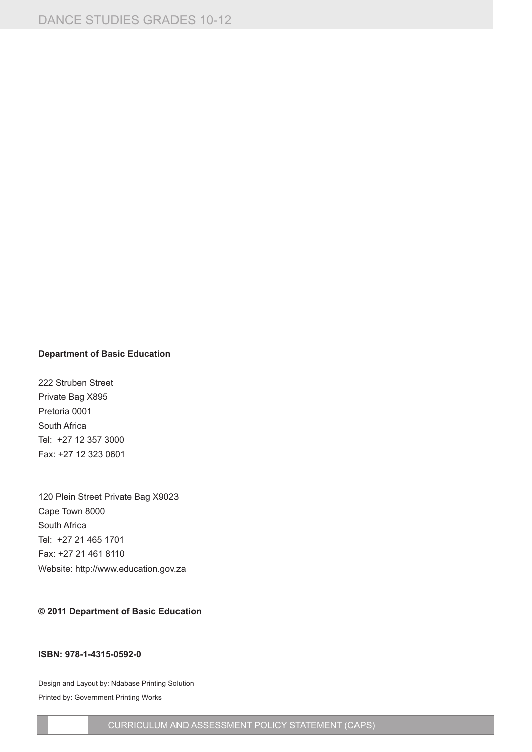#### **Department of Basic Education**

222 Struben Street Private Bag X895 Pretoria 0001 South Africa Tel: +27 12 357 3000 Fax: +27 12 323 0601

120 Plein Street Private Bag X9023 Cape Town 8000 South Africa Tel: +27 21 465 1701 Fax: +27 21 461 8110 Website: http://www.education.gov.za

### **© 2011 Department of Basic Education**

#### **Isbn: 978-1-4315-0592-0**

Design and Layout by: Ndabase Printing Solution Printed by: Government Printing Works

CURRICULUM AND ASSESSMENT POLICY STATEMENT (CAPS)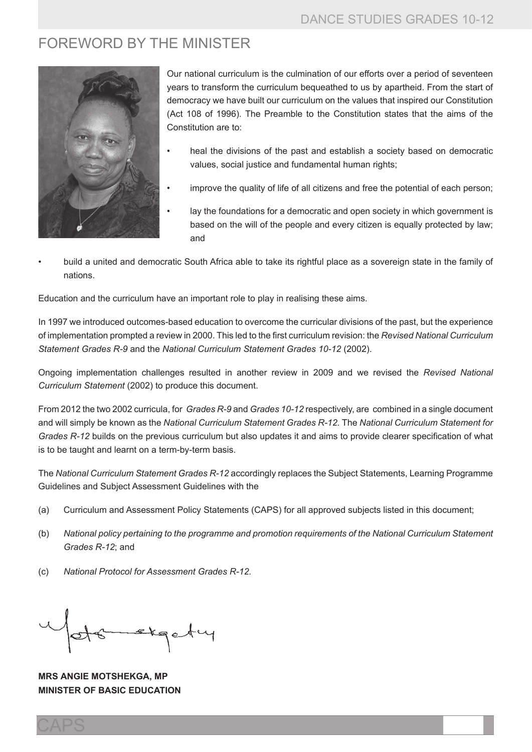# FOREWORD BY THE MINISTER



Our national curriculum is the culmination of our efforts over a period of seventeen years to transform the curriculum bequeathed to us by apartheid. From the start of democracy we have built our curriculum on the values that inspired our Constitution (Act 108 of 1996). The Preamble to the Constitution states that the aims of the Constitution are to:

- heal the divisions of the past and establish a society based on democratic values, social justice and fundamental human rights;
- improve the quality of life of all citizens and free the potential of each person;
- lay the foundations for a democratic and open society in which government is based on the will of the people and every citizen is equally protected by law; and
- build a united and democratic South Africa able to take its rightful place as a sovereign state in the family of nations.

Education and the curriculum have an important role to play in realising these aims.

in 1997 we introduced outcomes-based education to overcome the curricular divisions of the past, but the experience of implementation prompted a review in 2000. This led to the first curriculum revision: the *Revised National Curriculum Statement Grades R-9* and the *National Curriculum Statement Grades 10-12* (2002).

Ongoing implementation challenges resulted in another review in 2009 and we revised the *Revised National Curriculum Statement* (2002) to produce this document.

From 2012 the two 2002 curricula, for *Grades R-9* and *Grades 10-12* respectively, are combined in a single document and will simply be known as the *National Curriculum Statement Grades R-12.* the *National Curriculum Statement for Grades R-12* builds on the previous curriculum but also updates it and aims to provide clearer specification of what is to be taught and learnt on a term-by-term basis.

the *National Curriculum Statement Grades R-12* accordingly replaces the subject statements, Learning Programme Guidelines and subject Assessment Guidelines with the

- (a) Curriculum and Assessment Policy statements (CAPs) for all approved subjects listed in this document;
- (b) *National policy pertaining to the programme and promotion requirements of the National Curriculum Statement Grades R-12*; and
- (c) *National Protocol for Assessment Grades R-12.*

exgety

**MRS ANGIE MOTSHEKGA, MP MINISTER OF BASIC EDUCATION**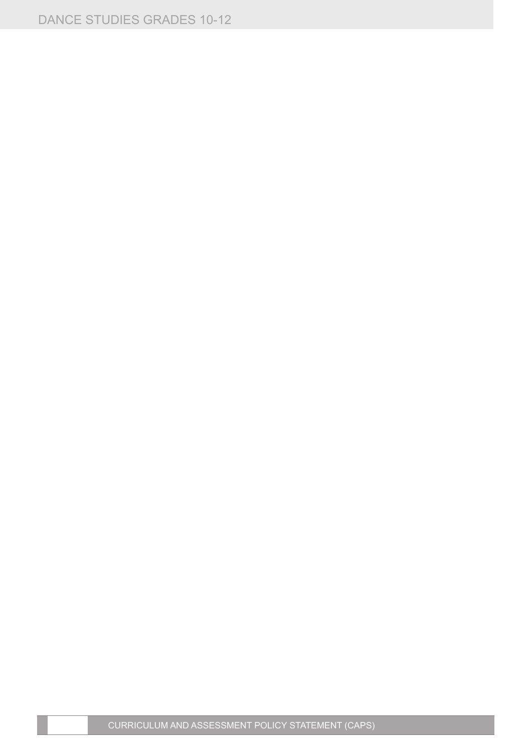CURRICULUM AND ASSESSMENT POLICY STATEMENT (CAPS)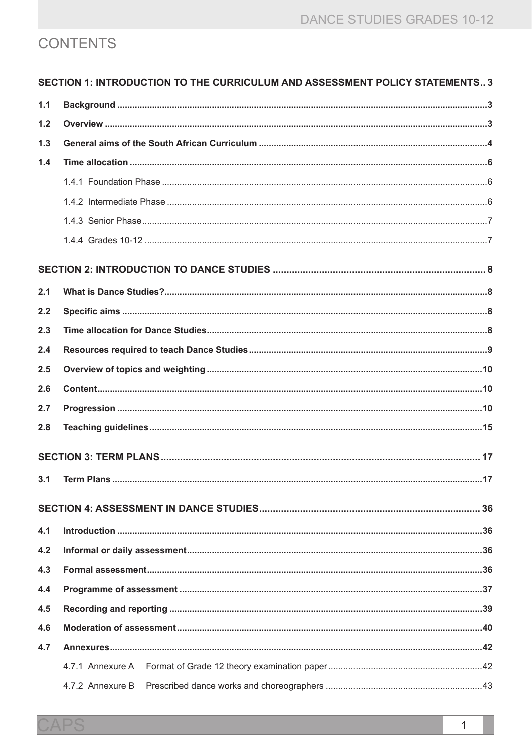# **CONTENTS**

|     | SECTION 1: INTRODUCTION TO THE CURRICULUM AND ASSESSMENT POLICY STATEMENTS 3 |  |  |
|-----|------------------------------------------------------------------------------|--|--|
| 1.1 |                                                                              |  |  |
| 1.2 |                                                                              |  |  |
| 1.3 |                                                                              |  |  |
| 1.4 |                                                                              |  |  |
|     |                                                                              |  |  |
|     |                                                                              |  |  |
|     |                                                                              |  |  |
|     |                                                                              |  |  |
|     |                                                                              |  |  |
| 2.1 |                                                                              |  |  |
| 2.2 |                                                                              |  |  |
| 2.3 |                                                                              |  |  |
| 2.4 |                                                                              |  |  |
| 2.5 |                                                                              |  |  |
| 2.6 |                                                                              |  |  |
| 2.7 |                                                                              |  |  |
| 2.8 |                                                                              |  |  |
|     |                                                                              |  |  |
| 3.1 |                                                                              |  |  |
|     |                                                                              |  |  |
|     |                                                                              |  |  |
| 4.1 |                                                                              |  |  |
| 4.2 |                                                                              |  |  |
| 4.3 |                                                                              |  |  |
| 4.4 |                                                                              |  |  |
| 4.5 |                                                                              |  |  |
| 4.6 |                                                                              |  |  |
| 4.7 |                                                                              |  |  |
|     |                                                                              |  |  |
|     | 4.7.2 Annexure B                                                             |  |  |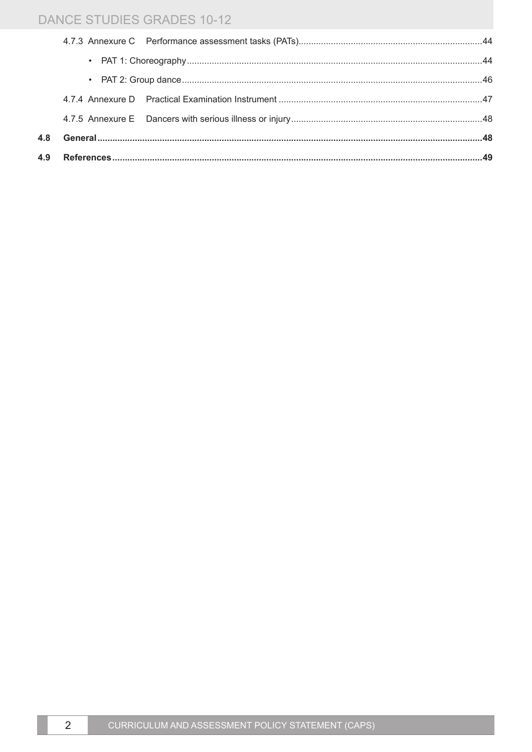| 4.8 |  |
|-----|--|
|     |  |
|     |  |
|     |  |
|     |  |
|     |  |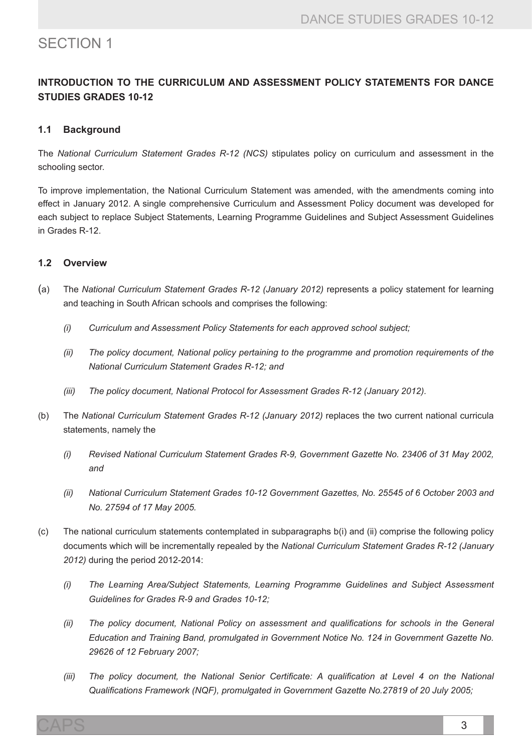# sECTION 1

# **INTRODUCTION TO THE Curriculum and Assessment Policy StatementS for DANCE STUDIES gradeS 10-12**

# **1.1 Background**

The *National Curriculum Statement Grades R-12 (NCS)* stipulates policy on curriculum and assessment in the schooling sector.

To improve implementation, the National Curriculum Statement was amended, with the amendments coming into effect in January 2012. A single comprehensive Curriculum and Assessment Policy document was developed for each subject to replace Subject Statements, Learning Programme Guidelines and Subject Assessment Guidelines in Grades R-12.

### **1.2 Overview**

- (a) The *National Curriculum Statement Grades R-12 (January 2012)* represents a policy statement for learning and teaching in South African schools and comprises the following:
	- *(i) Curriculum and Assessment Policy Statements for each approved school subject;*
	- *(ii) The policy document, National policy pertaining to the programme and promotion requirements of the National Curriculum Statement Grades R-12; and*
	- *(iii) The policy document, National Protocol for Assessment Grades R-12 (January 2012).*
- (b) The *National Curriculum Statement Grades R-12 (January 2012)* replaces the two current national curricula statements, namely the
	- *(i) Revised National Curriculum Statement Grades R-9, Government Gazette No. 23406 of 31 May 2002, and*
	- *(ii) National Curriculum Statement Grades 10-12 Government Gazettes, No. 25545 of 6 October 2003 and No. 27594 of 17 May 2005.*
- (c) The national curriculum statements contemplated in subparagraphs b(i) and (ii) comprise the following policy documents which will be incrementally repealed by the *National Curriculum Statement Grades R-12 (January 2012)* during the period 2012-2014:
	- *(i) The Learning Area/Subject Statements, Learning Programme Guidelines and Subject Assessment Guidelines for Grades R-9 and Grades 10-12;*
	- *(ii) The policy document, National Policy on assessment and qualifications for schools in the General Education and Training Band, promulgated in Government Notice No. 124 in Government Gazette No. 29626 of 12 February 2007;*
	- *(iii) The policy document, the National Senior Certificate: A qualification at Level 4 on the National Qualifications Framework (NQF), promulgated in Government Gazette No.27819 of 20 July 2005;*

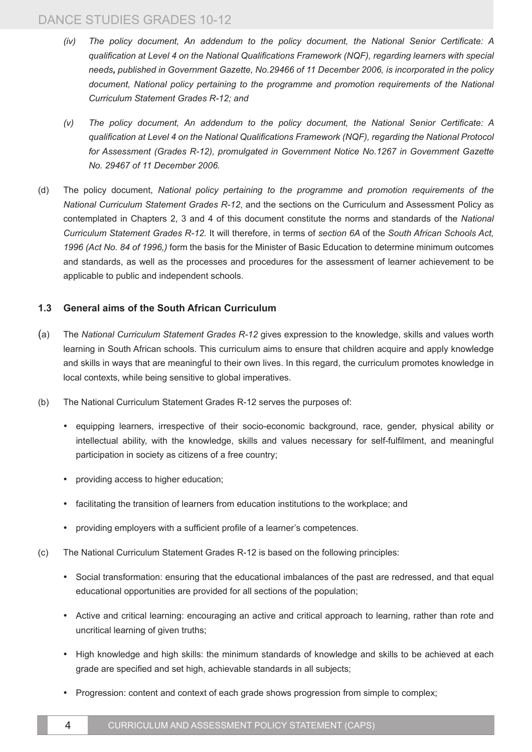- *(iv) The policy document, An addendum to the policy document, the National Senior Certificate: A qualification at Level 4 on the National Qualifications Framework (NQF), regarding learners with special needs, published in Government Gazette, No.29466 of 11 December 2006, is incorporated in the policy*  document. National policy pertaining to the programme and promotion requirements of the National *Curriculum Statement Grades R-12; and*
- *(v) The policy document, An addendum to the policy document, the National Senior Certificate: A qualification at Level 4 on the National Qualifications Framework (NQF), regarding the National Protocol for Assessment (Grades R-12), promulgated in Government Notice No.1267 in Government Gazette No. 29467 of 11 December 2006.*
- (d) The policy document, *National policy pertaining to the programme and promotion requirements of the National Curriculum Statement Grades R-12*, and the sections on the Curriculum and Assessment Policy as contemplated in Chapters 2, 3 and 4 of this document constitute the norms and standards of the *National Curriculum Statement Grades R-12.* It will therefore, in terms of *section 6A* of the *South African Schools Act, 1996 (Act No. 84 of 1996,)* form the basis for the Minister of Basic Education to determine minimum outcomes and standards, as well as the processes and procedures for the assessment of learner achievement to be applicable to public and independent schools.

# **1.3 General aims of the South African Curriculum**

- (a) The *National Curriculum Statement Grades R-12* gives expression to the knowledge, skills and values worth learning in South African schools. This curriculum aims to ensure that children acquire and apply knowledge and skills in ways that are meaningful to their own lives. In this regard, the curriculum promotes knowledge in local contexts, while being sensitive to global imperatives.
- (b) The National Curriculum Statement Grades R-12 serves the purposes of:
	- • equipping learners, irrespective of their socio-economic background, race, gender, physical ability or intellectual ability, with the knowledge, skills and values necessary for self-fulfilment, and meaningful participation in society as citizens of a free country;
	- • providing access to higher education;
	- facilitating the transition of learners from education institutions to the workplace; and
	- providing employers with a sufficient profile of a learner's competences.
- (c) The National Curriculum Statement Grades R-12 is based on the following principles:
	- • Social transformation: ensuring that the educational imbalances of the past are redressed, and that equal educational opportunities are provided for all sections of the population;
	- • Active and critical learning: encouraging an active and critical approach to learning, rather than rote and uncritical learning of given truths;
	- • High knowledge and high skills: the minimum standards of knowledge and skills to be achieved at each grade are specified and set high, achievable standards in all subjects;
	- Progression: content and context of each grade shows progression from simple to complex;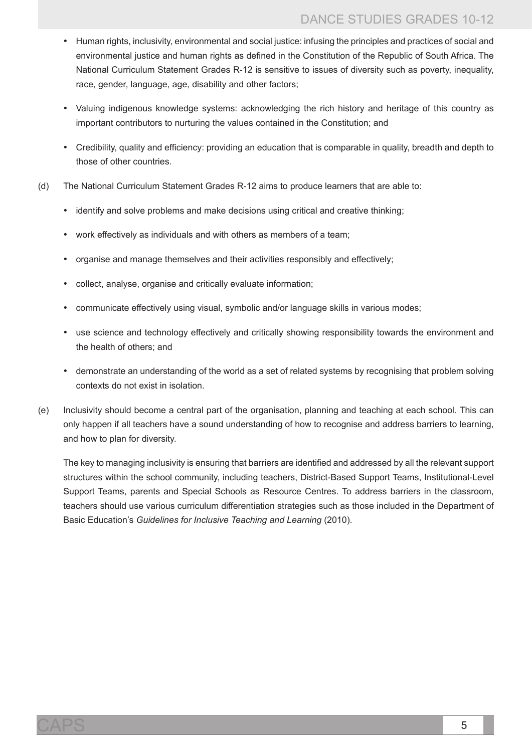- • Human rights, inclusivity, environmental and social justice: infusing the principles and practices of social and environmental justice and human rights as defined in the Constitution of the Republic of South Africa. The National Curriculum Statement Grades R-12 is sensitive to issues of diversity such as poverty, inequality, race, gender, language, age, disability and other factors;
- • Valuing indigenous knowledge systems: acknowledging the rich history and heritage of this country as important contributors to nurturing the values contained in the Constitution; and
- • Credibility, quality and efficiency: providing an education that is comparable in quality, breadth and depth to those of other countries.
- (d) The National Curriculum Statement Grades R-12 aims to produce learners that are able to:
	- identify and solve problems and make decisions using critical and creative thinking;
	- work effectively as individuals and with others as members of a team;
	- organise and manage themselves and their activities responsibly and effectively;
	- collect, analyse, organise and critically evaluate information;
	- communicate effectively using visual, symbolic and/or language skills in various modes;
	- • use science and technology effectively and critically showing responsibility towards the environment and the health of others; and
	- • demonstrate an understanding of the world as a set of related systems by recognising that problem solving contexts do not exist in isolation.
- (e) Inclusivity should become a central part of the organisation, planning and teaching at each school. This can only happen if all teachers have a sound understanding of how to recognise and address barriers to learning, and how to plan for diversity.

 The key to managing inclusivity is ensuring that barriers are identified and addressed by all the relevant support structures within the school community, including teachers, District-Based Support Teams, Institutional-Level Support Teams, parents and Special Schools as Resource Centres. To address barriers in the classroom, teachers should use various curriculum differentiation strategies such as those included in the Department of Basic Education's *Guidelines for Inclusive Teaching and Learning* (2010).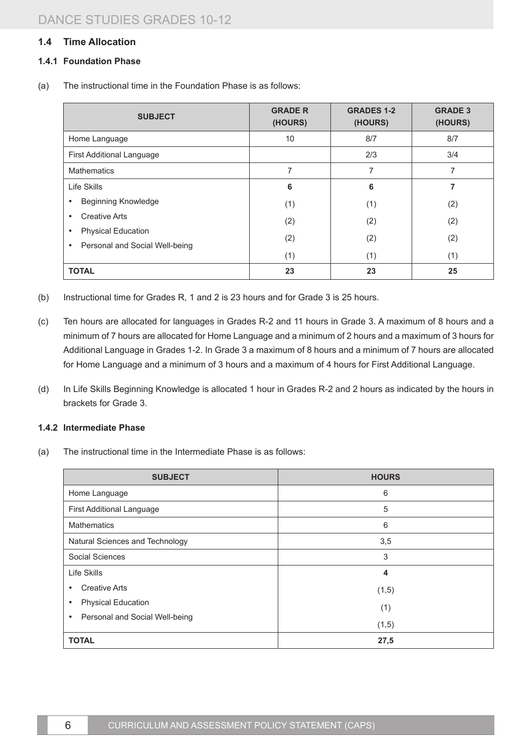# **1.4 Time Allocation**

# **1.4.1 Foundation Phase**

(a) The instructional time in the Foundation Phase is as follows:

| <b>SUBJECT</b>                                                                        | <b>GRADE R</b><br>(HOURS) | <b>GRADES 1-2</b><br>(HOURS) | <b>GRADE 3</b><br>(HOURS) |
|---------------------------------------------------------------------------------------|---------------------------|------------------------------|---------------------------|
| Home Language                                                                         | 10                        | 8/7                          | 8/7                       |
| <b>First Additional Language</b>                                                      |                           | 2/3                          | 3/4                       |
| <b>Mathematics</b>                                                                    | 7                         | 7                            | 7                         |
| Life Skills                                                                           | 6                         | 6                            | 7                         |
| <b>Beginning Knowledge</b><br>$\bullet$                                               | (1)                       | (1)                          | (2)                       |
| <b>Creative Arts</b><br>$\bullet$                                                     | (2)                       | (2)                          | (2)                       |
| <b>Physical Education</b><br>$\bullet$<br>Personal and Social Well-being<br>$\bullet$ | (2)                       | (2)                          | (2)                       |
|                                                                                       | (1)                       | (1)                          | (1)                       |
| <b>TOTAL</b>                                                                          | 23                        | 23                           | 25                        |

- (b) Instructional time for Grades R, 1 and 2 is 23 hours and for Grade 3 is 25 hours.
- (c) Ten hours are allocated for languages in Grades R-2 and 11 hours in Grade 3. A maximum of 8 hours and a minimum of 7 hours are allocated for Home Language and a minimum of 2 hours and a maximum of 3 hours for Additional Language in Grades 1-2. In Grade 3 a maximum of 8 hours and a minimum of 7 hours are allocated for Home Language and a minimum of 3 hours and a maximum of 4 hours for First Additional Language.
- (d) In Life Skills Beginning Knowledge is allocated 1 hour in Grades R-2 and 2 hours as indicated by the hours in brackets for Grade 3.

# **1.4.2 Intermediate Phase**

(a) The instructional time in the Intermediate Phase is as follows:

| <b>SUBJECT</b>                              | <b>HOURS</b> |
|---------------------------------------------|--------------|
| Home Language                               | 6            |
| <b>First Additional Language</b>            | 5            |
| <b>Mathematics</b>                          | 6            |
| Natural Sciences and Technology             | 3,5          |
| Social Sciences                             | 3            |
| Life Skills                                 | 4            |
| <b>Creative Arts</b><br>$\bullet$           | (1,5)        |
| <b>Physical Education</b><br>٠              | (1)          |
| Personal and Social Well-being<br>$\bullet$ | (1,5)        |
| <b>TOTAL</b>                                | 27,5         |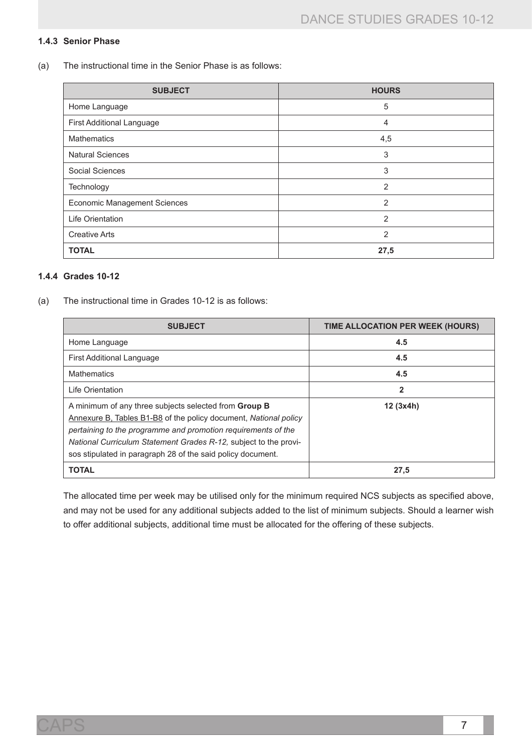### **1.4.3 Senior Phase**

(a) The instructional time in the Senior Phase is as follows:

| <b>SUBJECT</b>                      | <b>HOURS</b>   |
|-------------------------------------|----------------|
| Home Language                       | 5              |
| <b>First Additional Language</b>    | 4              |
| <b>Mathematics</b>                  | 4,5            |
| <b>Natural Sciences</b>             | 3              |
| Social Sciences                     | 3              |
| Technology                          | $\overline{2}$ |
| <b>Economic Management Sciences</b> | 2              |
| Life Orientation                    | 2              |
| <b>Creative Arts</b>                | 2              |
| <b>TOTAL</b>                        | 27,5           |

### **1.4.4 Grades 10-12**

(a) The instructional time in Grades 10-12 is as follows:

| <b>SUBJECT</b>                                                                                                                                                                                                                                                                                                                | TIME ALLOCATION PER WEEK (HOURS) |
|-------------------------------------------------------------------------------------------------------------------------------------------------------------------------------------------------------------------------------------------------------------------------------------------------------------------------------|----------------------------------|
| Home Language                                                                                                                                                                                                                                                                                                                 | 4.5                              |
| <b>First Additional Language</b>                                                                                                                                                                                                                                                                                              | 4.5                              |
| <b>Mathematics</b>                                                                                                                                                                                                                                                                                                            | 4.5                              |
| Life Orientation                                                                                                                                                                                                                                                                                                              | $\mathbf{2}$                     |
| A minimum of any three subjects selected from Group B<br>Annexure B, Tables B1-B8 of the policy document, National policy<br>pertaining to the programme and promotion requirements of the<br>National Curriculum Statement Grades R-12, subject to the provi-<br>sos stipulated in paragraph 28 of the said policy document. | 12(3x4h)                         |
| <b>TOTAL</b>                                                                                                                                                                                                                                                                                                                  | 27,5                             |

 The allocated time per week may be utilised only for the minimum required NCS subjects as specified above, and may not be used for any additional subjects added to the list of minimum subjects. Should a learner wish to offer additional subjects, additional time must be allocated for the offering of these subjects.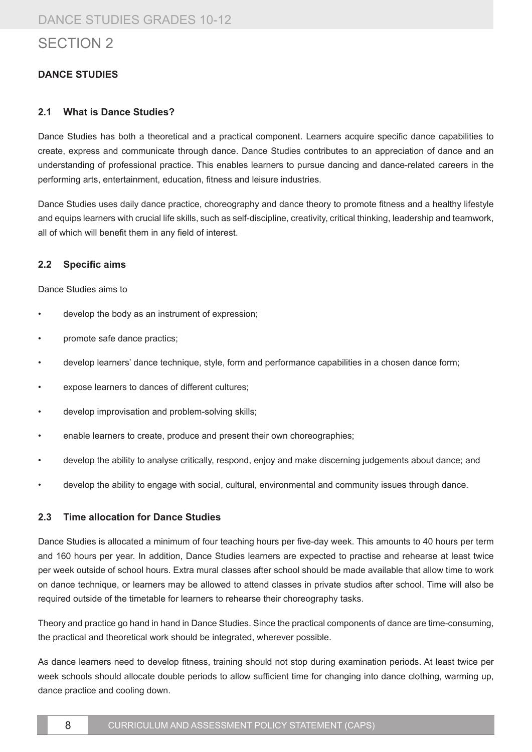# SECTION 2

# **DANCE STUDIES**

# **2.1 What is Dance Studies?**

Dance Studies has both a theoretical and a practical component. Learners acquire specific dance capabilities to create, express and communicate through dance. Dance Studies contributes to an appreciation of dance and an understanding of professional practice. This enables learners to pursue dancing and dance-related careers in the performing arts, entertainment, education, fitness and leisure industries.

Dance Studies uses daily dance practice, choreography and dance theory to promote fitness and a healthy lifestyle and equips learners with crucial life skills, such as self-discipline, creativity, critical thinking, leadership and teamwork, all of which will benefit them in any field of interest.

# **2.2 Specific aims**

Dance Studies aims to

- develop the body as an instrument of expression;
- promote safe dance practics;
- develop learners' dance technique, style, form and performance capabilities in a chosen dance form;
- expose learners to dances of different cultures;
- develop improvisation and problem-solving skills;
- enable learners to create, produce and present their own choreographies;
- develop the ability to analyse critically, respond, enjoy and make discerning judgements about dance; and
- develop the ability to engage with social, cultural, environmental and community issues through dance.

# **2.3 Time allocation for Dance Studies**

Dance Studies is allocated a minimum of four teaching hours per five-day week. This amounts to 40 hours per term and 160 hours per year. In addition, Dance Studies learners are expected to practise and rehearse at least twice per week outside of school hours. Extra mural classes after school should be made available that allow time to work on dance technique, or learners may be allowed to attend classes in private studios after school. Time will also be required outside of the timetable for learners to rehearse their choreography tasks.

Theory and practice go hand in hand in Dance Studies. Since the practical components of dance are time-consuming, the practical and theoretical work should be integrated, wherever possible.

As dance learners need to develop fitness, training should not stop during examination periods. At least twice per week schools should allocate double periods to allow sufficient time for changing into dance clothing, warming up, dance practice and cooling down.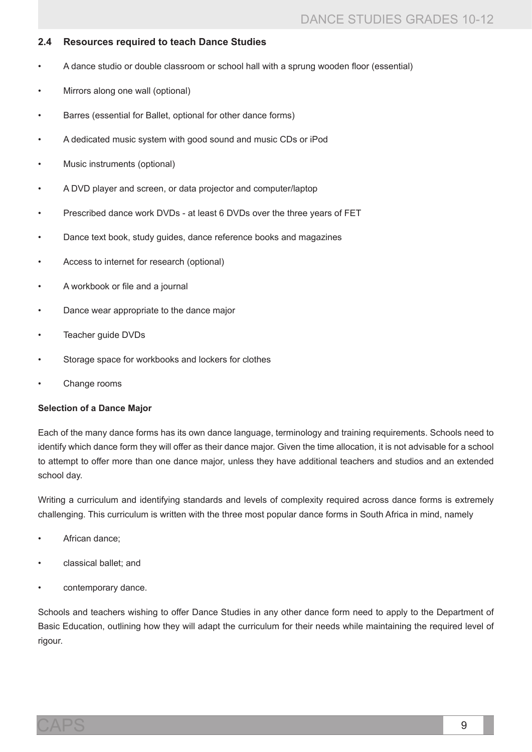# **2.4 Resources required to teach Dance Studies**

- A dance studio or double classroom or school hall with a sprung wooden floor (essential)
- Mirrors along one wall (optional)
- Barres (essential for Ballet, optional for other dance forms)
- A dedicated music system with good sound and music CDs or iPod
- Music instruments (optional)
- A DVD player and screen, or data projector and computer/laptop
- Prescribed dance work DVDs at least 6 DVDs over the three years of FET
- Dance text book, study guides, dance reference books and magazines
- Access to internet for research (optional)
- A workbook or file and a journal
- Dance wear appropriate to the dance major
- Teacher guide DVDs
- Storage space for workbooks and lockers for clothes
- Change rooms

### **Selection of a Dance Major**

Each of the many dance forms has its own dance language, terminology and training requirements. Schools need to identify which dance form they will offer as their dance major. Given the time allocation, it is not advisable for a school to attempt to offer more than one dance major, unless they have additional teachers and studios and an extended school day.

Writing a curriculum and identifying standards and levels of complexity required across dance forms is extremely challenging. This curriculum is written with the three most popular dance forms in South Africa in mind, namely

- African dance;
- classical ballet; and
- contemporary dance.

Schools and teachers wishing to offer Dance Studies in any other dance form need to apply to the Department of Basic Education, outlining how they will adapt the curriculum for their needs while maintaining the required level of rigour.

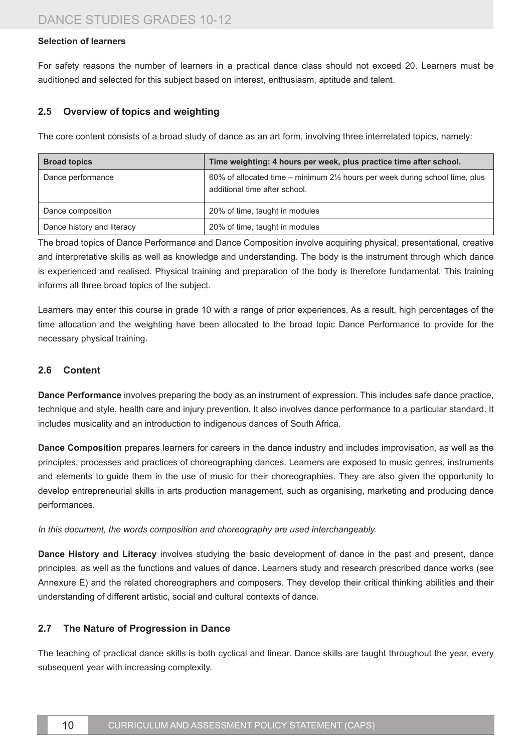### **Selection of learners**

For safety reasons the number of learners in a practical dance class should not exceed 20. Learners must be auditioned and selected for this subject based on interest, enthusiasm, aptitude and talent.

# **2.5 Overview of topics and weighting**

The core content consists of a broad study of dance as an art form, involving three interrelated topics, namely:

| <b>Broad topics</b>        | Time weighting: 4 hours per week, plus practice time after school.                                            |
|----------------------------|---------------------------------------------------------------------------------------------------------------|
| Dance performance          | 60% of allocated time – minimum 21/2 hours per week during school time, plus<br>additional time after school. |
| Dance composition          | 20% of time, taught in modules                                                                                |
| Dance history and literacy | 20% of time, taught in modules                                                                                |

The broad topics of Dance Performance and Dance Composition involve acquiring physical, presentational, creative and interpretative skills as well as knowledge and understanding. The body is the instrument through which dance is experienced and realised. Physical training and preparation of the body is therefore fundamental. This training informs all three broad topics of the subject.

Learners may enter this course in grade 10 with a range of prior experiences. As a result, high percentages of the time allocation and the weighting have been allocated to the broad topic Dance Performance to provide for the necessary physical training.

# **2.6 Content**

**Dance Performance** involves preparing the body as an instrument of expression. This includes safe dance practice, technique and style, health care and injury prevention. It also involves dance performance to a particular standard. It includes musicality and an introduction to indigenous dances of South Africa.

**Dance Composition** prepares learners for careers in the dance industry and includes improvisation, as well as the principles, processes and practices of choreographing dances. Learners are exposed to music genres, instruments and elements to guide them in the use of music for their choreographies. They are also given the opportunity to develop entrepreneurial skills in arts production management, such as organising, marketing and producing dance performances.

*In this document, the words composition and choreography are used interchangeably.*

**Dance History and Literacy** involves studying the basic development of dance in the past and present, dance principles, as well as the functions and values of dance. Learners study and research prescribed dance works (see Annexure E) and the related choreographers and composers. They develop their critical thinking abilities and their understanding of different artistic, social and cultural contexts of dance.

# **2.7 The Nature of Progression in Dance**

The teaching of practical dance skills is both cyclical and linear. Dance skills are taught throughout the year, every subsequent year with increasing complexity.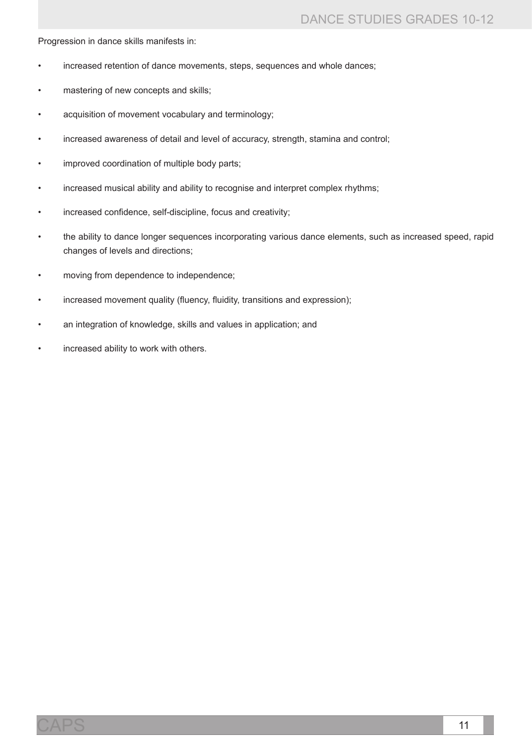Progression in dance skills manifests in:

- • increased retention of dance movements, steps, sequences and whole dances;
- mastering of new concepts and skills;
- acquisition of movement vocabulary and terminology;
- increased awareness of detail and level of accuracy, strength, stamina and control;
- • improved coordination of multiple body parts;
- increased musical ability and ability to recognise and interpret complex rhythms;
- • increased confidence, self-discipline, focus and creativity;
- the ability to dance longer sequences incorporating various dance elements, such as increased speed, rapid changes of levels and directions;
- moving from dependence to independence;
- • increased movement quality (fluency, fluidity, transitions and expression);
- an integration of knowledge, skills and values in application; and
- increased ability to work with others.

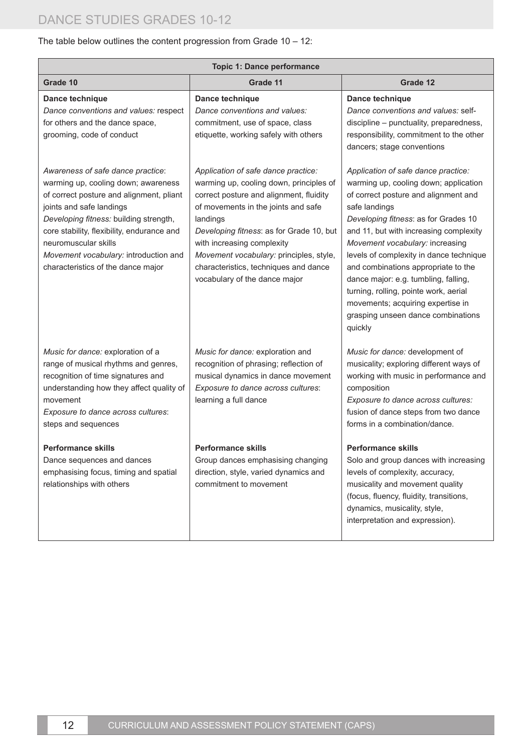### The table below outlines the content progression from Grade 10 – 12:

| <b>Topic 1: Dance performance</b>                                                                                                                                                                                                                                                                                                               |                                                                                                                                                                                                                                                                                                                                                                             |                                                                                                                                                                                                                                                                                                                                                                                                                                                                                                                     |  |
|-------------------------------------------------------------------------------------------------------------------------------------------------------------------------------------------------------------------------------------------------------------------------------------------------------------------------------------------------|-----------------------------------------------------------------------------------------------------------------------------------------------------------------------------------------------------------------------------------------------------------------------------------------------------------------------------------------------------------------------------|---------------------------------------------------------------------------------------------------------------------------------------------------------------------------------------------------------------------------------------------------------------------------------------------------------------------------------------------------------------------------------------------------------------------------------------------------------------------------------------------------------------------|--|
| Grade 10                                                                                                                                                                                                                                                                                                                                        | Grade 11                                                                                                                                                                                                                                                                                                                                                                    | Grade 12                                                                                                                                                                                                                                                                                                                                                                                                                                                                                                            |  |
| Dance technique<br>Dance conventions and values: respect<br>for others and the dance space,<br>grooming, code of conduct                                                                                                                                                                                                                        | Dance technique<br>Dance conventions and values:<br>commitment, use of space, class<br>etiquette, working safely with others                                                                                                                                                                                                                                                | Dance technique<br>Dance conventions and values: self-<br>discipline - punctuality, preparedness,<br>responsibility, commitment to the other<br>dancers; stage conventions                                                                                                                                                                                                                                                                                                                                          |  |
| Awareness of safe dance practice:<br>warming up, cooling down; awareness<br>of correct posture and alignment, pliant<br>joints and safe landings<br>Developing fitness: building strength,<br>core stability, flexibility, endurance and<br>neuromuscular skills<br>Movement vocabulary: introduction and<br>characteristics of the dance major | Application of safe dance practice:<br>warming up, cooling down, principles of<br>correct posture and alignment, fluidity<br>of movements in the joints and safe<br>landings<br>Developing fitness: as for Grade 10, but<br>with increasing complexity<br>Movement vocabulary: principles, style,<br>characteristics, techniques and dance<br>vocabulary of the dance major | Application of safe dance practice:<br>warming up, cooling down; application<br>of correct posture and alignment and<br>safe landings<br>Developing fitness: as for Grades 10<br>and 11, but with increasing complexity<br>Movement vocabulary: increasing<br>levels of complexity in dance technique<br>and combinations appropriate to the<br>dance major: e.g. tumbling, falling,<br>turning, rolling, pointe work, aerial<br>movements; acquiring expertise in<br>grasping unseen dance combinations<br>quickly |  |
| Music for dance: exploration of a<br>range of musical rhythms and genres,<br>recognition of time signatures and<br>understanding how they affect quality of<br>movement<br>Exposure to dance across cultures:<br>steps and sequences                                                                                                            | Music for dance: exploration and<br>recognition of phrasing; reflection of<br>musical dynamics in dance movement<br>Exposure to dance across cultures:<br>learning a full dance                                                                                                                                                                                             | Music for dance: development of<br>musicality; exploring different ways of<br>working with music in performance and<br>composition<br>Exposure to dance across cultures:<br>fusion of dance steps from two dance<br>forms in a combination/dance.                                                                                                                                                                                                                                                                   |  |
| <b>Performance skills</b><br>Dance sequences and dances<br>emphasising focus, timing and spatial<br>relationships with others                                                                                                                                                                                                                   | <b>Performance skills</b><br>Group dances emphasising changing<br>direction, style, varied dynamics and<br>commitment to movement                                                                                                                                                                                                                                           | <b>Performance skills</b><br>Solo and group dances with increasing<br>levels of complexity, accuracy,<br>musicality and movement quality<br>(focus, fluency, fluidity, transitions,<br>dynamics, musicality, style,<br>interpretation and expression).                                                                                                                                                                                                                                                              |  |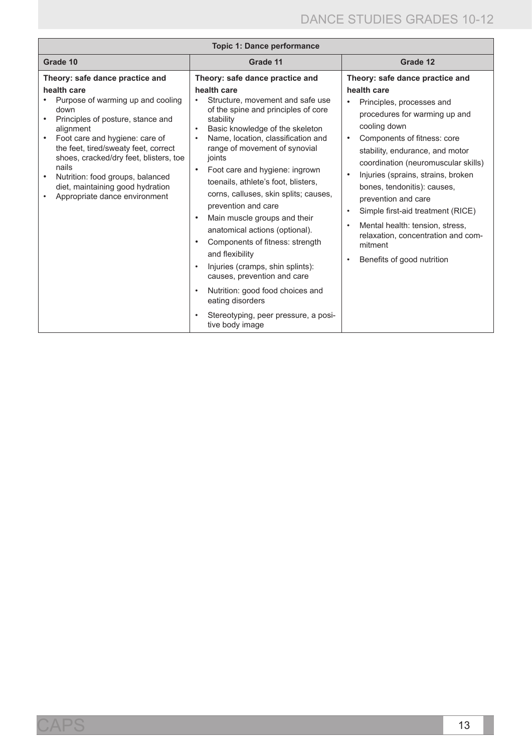| <b>Topic 1: Dance performance</b>                                                                                                                                                                                                                                                                                                                                                   |                                                                                                                                                                                                                                                                                                                                                                                                                                                                                                                                                                                                                                                                                                                                                                                                 |                                                                                                                                                                                                                                                                                                                                                                                                                                                                                                       |  |
|-------------------------------------------------------------------------------------------------------------------------------------------------------------------------------------------------------------------------------------------------------------------------------------------------------------------------------------------------------------------------------------|-------------------------------------------------------------------------------------------------------------------------------------------------------------------------------------------------------------------------------------------------------------------------------------------------------------------------------------------------------------------------------------------------------------------------------------------------------------------------------------------------------------------------------------------------------------------------------------------------------------------------------------------------------------------------------------------------------------------------------------------------------------------------------------------------|-------------------------------------------------------------------------------------------------------------------------------------------------------------------------------------------------------------------------------------------------------------------------------------------------------------------------------------------------------------------------------------------------------------------------------------------------------------------------------------------------------|--|
| Grade 10                                                                                                                                                                                                                                                                                                                                                                            | Grade 11                                                                                                                                                                                                                                                                                                                                                                                                                                                                                                                                                                                                                                                                                                                                                                                        | Grade 12                                                                                                                                                                                                                                                                                                                                                                                                                                                                                              |  |
| Theory: safe dance practice and<br>health care<br>Purpose of warming up and cooling<br>down<br>Principles of posture, stance and<br>alignment<br>Foot care and hygiene: care of<br>the feet, tired/sweaty feet, correct<br>shoes, cracked/dry feet, blisters, toe<br>nails<br>Nutrition: food groups, balanced<br>diet, maintaining good hydration<br>Appropriate dance environment | Theory: safe dance practice and<br>health care<br>Structure, movement and safe use<br>of the spine and principles of core<br>stability<br>Basic knowledge of the skeleton<br>$\bullet$<br>Name, location, classification and<br>range of movement of synovial<br>joints<br>Foot care and hygiene: ingrown<br>$\bullet$<br>toenails, athlete's foot, blisters,<br>corns, calluses, skin splits; causes,<br>prevention and care<br>Main muscle groups and their<br>$\bullet$<br>anatomical actions (optional).<br>Components of fitness: strength<br>and flexibility<br>Injuries (cramps, shin splints):<br>$\bullet$<br>causes, prevention and care<br>Nutrition: good food choices and<br>$\bullet$<br>eating disorders<br>Stereotyping, peer pressure, a posi-<br>$\bullet$<br>tive body image | Theory: safe dance practice and<br>health care<br>Principles, processes and<br>$\bullet$<br>procedures for warming up and<br>cooling down<br>Components of fitness: core<br>stability, endurance, and motor<br>coordination (neuromuscular skills)<br>Injuries (sprains, strains, broken<br>bones, tendonitis): causes,<br>prevention and care<br>Simple first-aid treatment (RICE)<br>Mental health: tension, stress,<br>relaxation, concentration and com-<br>mitment<br>Benefits of good nutrition |  |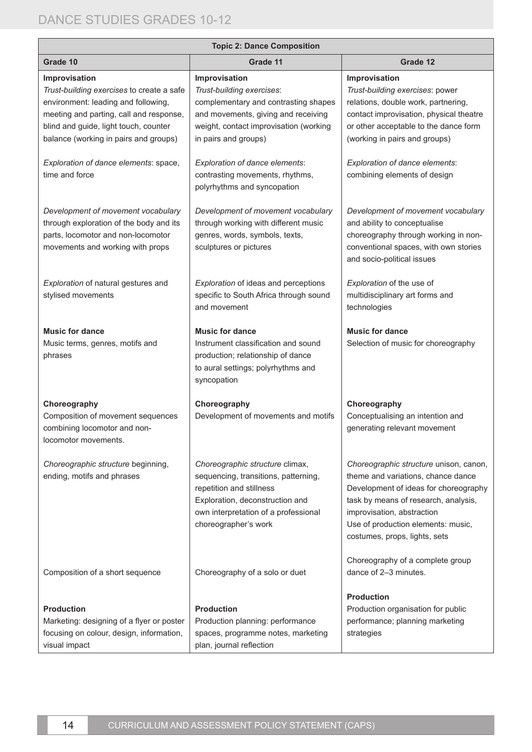| <b>Topic 2: Dance Composition</b>                                                                                                                                                                                              |                                                                                                                                                                                                        |                                                                                                                                                                                                                                                                    |
|--------------------------------------------------------------------------------------------------------------------------------------------------------------------------------------------------------------------------------|--------------------------------------------------------------------------------------------------------------------------------------------------------------------------------------------------------|--------------------------------------------------------------------------------------------------------------------------------------------------------------------------------------------------------------------------------------------------------------------|
| Grade 10                                                                                                                                                                                                                       | Grade 11                                                                                                                                                                                               | Grade 12                                                                                                                                                                                                                                                           |
| Improvisation<br>Trust-building exercises to create a safe<br>environment: leading and following,<br>meeting and parting, call and response,<br>blind and guide, light touch, counter<br>balance (working in pairs and groups) | Improvisation<br>Trust-building exercises:<br>complementary and contrasting shapes<br>and movements, giving and receiving<br>weight, contact improvisation (working<br>in pairs and groups)            | Improvisation<br>Trust-building exercises: power<br>relations, double work, partnering,<br>contact improvisation, physical theatre<br>or other acceptable to the dance form<br>(working in pairs and groups)                                                       |
| Exploration of dance elements: space,<br>time and force                                                                                                                                                                        | Exploration of dance elements:<br>contrasting movements, rhythms,<br>polyrhythms and syncopation                                                                                                       | Exploration of dance elements:<br>combining elements of design                                                                                                                                                                                                     |
| Development of movement vocabulary<br>through exploration of the body and its<br>parts, locomotor and non-locomotor<br>movements and working with props                                                                        | Development of movement vocabulary<br>through working with different music<br>genres, words, symbols, texts,<br>sculptures or pictures                                                                 | Development of movement vocabulary<br>and ability to conceptualise<br>choreography through working in non-<br>conventional spaces, with own stories<br>and socio-political issues                                                                                  |
| Exploration of natural gestures and<br>stylised movements                                                                                                                                                                      | Exploration of ideas and perceptions<br>specific to South Africa through sound<br>and movement                                                                                                         | Exploration of the use of<br>multidisciplinary art forms and<br>technologies                                                                                                                                                                                       |
| <b>Music for dance</b><br>Music terms, genres, motifs and<br>phrases                                                                                                                                                           | <b>Music for dance</b><br>Instrument classification and sound<br>production; relationship of dance<br>to aural settings; polyrhythms and<br>syncopation                                                | <b>Music for dance</b><br>Selection of music for choreography                                                                                                                                                                                                      |
| Choreography<br>Composition of movement sequences<br>combining locomotor and non-<br>locomotor movements.                                                                                                                      | Choreography<br>Development of movements and motifs                                                                                                                                                    | Choreography<br>Conceptualising an intention and<br>generating relevant movement                                                                                                                                                                                   |
| Choreographic structure beginning,<br>ending, motifs and phrases                                                                                                                                                               | Choreographic structure climax,<br>sequencing, transitions, patterning,<br>repetition and stillness<br>Exploration, deconstruction and<br>own interpretation of a professional<br>choreographer's work | Choreographic structure unison, canon,<br>theme and variations, chance dance<br>Development of ideas for choreography<br>task by means of research, analysis,<br>improvisation, abstraction<br>Use of production elements: music,<br>costumes, props, lights, sets |
| Composition of a short sequence                                                                                                                                                                                                | Choreography of a solo or duet                                                                                                                                                                         | Choreography of a complete group<br>dance of 2-3 minutes.                                                                                                                                                                                                          |
| <b>Production</b><br>Marketing: designing of a flyer or poster<br>focusing on colour, design, information,<br>visual impact                                                                                                    | <b>Production</b><br>Production planning: performance<br>spaces, programme notes, marketing<br>plan, journal reflection                                                                                | <b>Production</b><br>Production organisation for public<br>performance; planning marketing<br>strategies                                                                                                                                                           |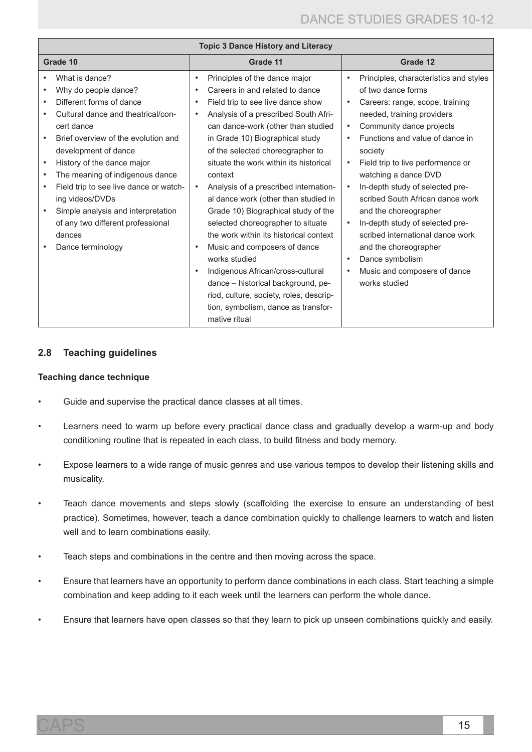| <b>Topic 3 Dance History and Literacy</b>                                                                                                                                                                                                                                                                                                                               |                                                                                                                                                                                                                                                                                                                                                                                                                                                      |                                                                                                                                                                                                                                                                                                                                                                                                              |  |
|-------------------------------------------------------------------------------------------------------------------------------------------------------------------------------------------------------------------------------------------------------------------------------------------------------------------------------------------------------------------------|------------------------------------------------------------------------------------------------------------------------------------------------------------------------------------------------------------------------------------------------------------------------------------------------------------------------------------------------------------------------------------------------------------------------------------------------------|--------------------------------------------------------------------------------------------------------------------------------------------------------------------------------------------------------------------------------------------------------------------------------------------------------------------------------------------------------------------------------------------------------------|--|
| Grade 10                                                                                                                                                                                                                                                                                                                                                                | Grade 11                                                                                                                                                                                                                                                                                                                                                                                                                                             | Grade 12                                                                                                                                                                                                                                                                                                                                                                                                     |  |
| What is dance?<br>$\bullet$<br>Why do people dance?<br>$\bullet$<br>Different forms of dance<br>Cultural dance and theatrical/con-<br>cert dance<br>Brief overview of the evolution and<br>development of dance<br>History of the dance major<br>$\bullet$<br>The meaning of indigenous dance<br>$\bullet$<br>Field trip to see live dance or watch-<br>ing videos/DVDs | Principles of the dance major<br>$\bullet$<br>Careers in and related to dance<br>$\bullet$<br>Field trip to see live dance show<br>$\bullet$<br>Analysis of a prescribed South Afri-<br>can dance-work (other than studied<br>in Grade 10) Biographical study<br>of the selected choreographer to<br>situate the work within its historical<br>context<br>Analysis of a prescribed internation-<br>$\bullet$<br>al dance work (other than studied in | Principles, characteristics and styles<br>$\bullet$<br>of two dance forms<br>Careers: range, scope, training<br>$\bullet$<br>needed, training providers<br>Community dance projects<br>$\bullet$<br>Functions and value of dance in<br>$\bullet$<br>society<br>Field trip to live performance or<br>$\bullet$<br>watching a dance DVD<br>In-depth study of selected pre-<br>scribed South African dance work |  |
| Simple analysis and interpretation<br>of any two different professional<br>dances<br>Dance terminology                                                                                                                                                                                                                                                                  | Grade 10) Biographical study of the<br>selected choreographer to situate<br>the work within its historical context<br>Music and composers of dance<br>$\bullet$<br>works studied<br>Indigenous African/cross-cultural<br>$\bullet$<br>dance - historical background, pe-<br>riod, culture, society, roles, descrip-<br>tion, symbolism, dance as transfor-<br>mative ritual                                                                          | and the choreographer<br>In-depth study of selected pre-<br>scribed international dance work<br>and the choreographer<br>Dance symbolism<br>$\bullet$<br>Music and composers of dance<br>$\bullet$<br>works studied                                                                                                                                                                                          |  |

# **2.8 Teaching guidelines**

### **Teaching dance technique**

- Guide and supervise the practical dance classes at all times.
- Learners need to warm up before every practical dance class and gradually develop a warm-up and body conditioning routine that is repeated in each class, to build fitness and body memory.
- Expose learners to a wide range of music genres and use various tempos to develop their listening skills and musicality.
- Teach dance movements and steps slowly (scaffolding the exercise to ensure an understanding of best practice). Sometimes, however, teach a dance combination quickly to challenge learners to watch and listen well and to learn combinations easily.
- Teach steps and combinations in the centre and then moving across the space.
- Ensure that learners have an opportunity to perform dance combinations in each class. Start teaching a simple combination and keep adding to it each week until the learners can perform the whole dance.
- Ensure that learners have open classes so that they learn to pick up unseen combinations quickly and easily.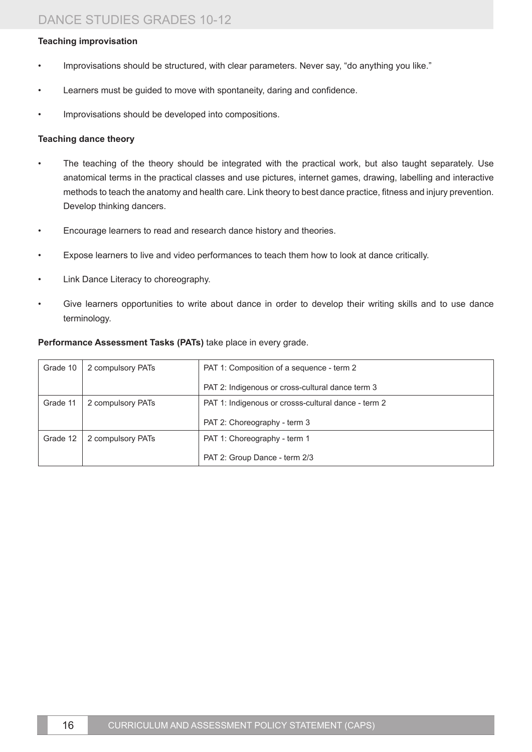### **Teaching improvisation**

- Improvisations should be structured, with clear parameters. Never say, "do anything you like."
- Learners must be guided to move with spontaneity, daring and confidence.
- Improvisations should be developed into compositions.

### **Teaching dance theory**

- The teaching of the theory should be integrated with the practical work, but also taught separately. Use anatomical terms in the practical classes and use pictures, internet games, drawing, labelling and interactive methods to teach the anatomy and health care. Link theory to best dance practice, fitness and injury prevention. Develop thinking dancers.
- Encourage learners to read and research dance history and theories.
- Expose learners to live and video performances to teach them how to look at dance critically.
- Link Dance Literacy to choreography.
- Give learners opportunities to write about dance in order to develop their writing skills and to use dance terminology.

### **Performance Assessment Tasks (PATs)** take place in every grade.

| Grade 10 | 2 compulsory PATs | PAT 1: Composition of a sequence - term 2           |
|----------|-------------------|-----------------------------------------------------|
|          |                   | PAT 2: Indigenous or cross-cultural dance term 3    |
| Grade 11 | 2 compulsory PATs | PAT 1: Indigenous or crosss-cultural dance - term 2 |
|          |                   | PAT 2: Choreography - term 3                        |
| Grade 12 | 2 compulsory PATs | PAT 1: Choreography - term 1                        |
|          |                   | PAT 2: Group Dance - term 2/3                       |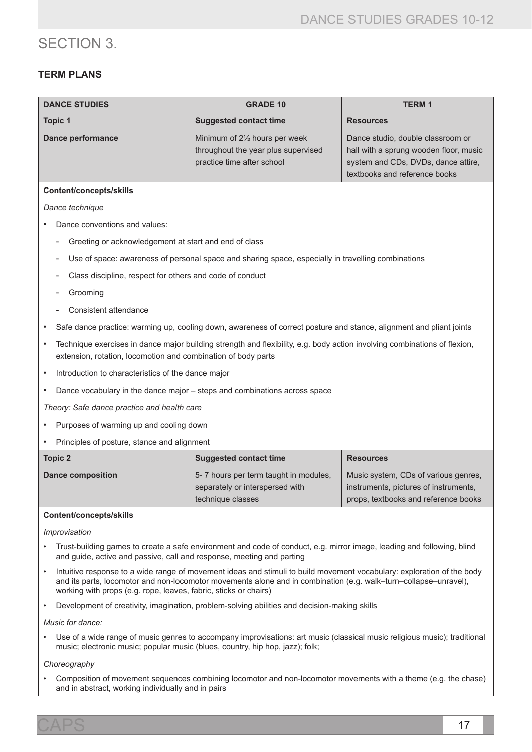# SECTION 3.

# **TERM PLANS**

| <b>DANCE STUDIES</b>                                                                                                                                                                                                                                                                                                        | <b>GRADE 10</b>                                                                                                                                                                                                                                            | <b>TERM1</b>                                                                                                          |  |
|-----------------------------------------------------------------------------------------------------------------------------------------------------------------------------------------------------------------------------------------------------------------------------------------------------------------------------|------------------------------------------------------------------------------------------------------------------------------------------------------------------------------------------------------------------------------------------------------------|-----------------------------------------------------------------------------------------------------------------------|--|
| <b>Topic 1</b>                                                                                                                                                                                                                                                                                                              | <b>Suggested contact time</b>                                                                                                                                                                                                                              | <b>Resources</b>                                                                                                      |  |
| <b>Dance performance</b>                                                                                                                                                                                                                                                                                                    | Minimum of 21/2 hours per week<br>Dance studio, double classroom or<br>throughout the year plus supervised<br>hall with a sprung wooden floor, music<br>practice time after school<br>system and CDs, DVDs, dance attire,<br>textbooks and reference books |                                                                                                                       |  |
| Content/concepts/skills                                                                                                                                                                                                                                                                                                     |                                                                                                                                                                                                                                                            |                                                                                                                       |  |
| Dance technique                                                                                                                                                                                                                                                                                                             |                                                                                                                                                                                                                                                            |                                                                                                                       |  |
| Dance conventions and values:                                                                                                                                                                                                                                                                                               |                                                                                                                                                                                                                                                            |                                                                                                                       |  |
| Greeting or acknowledgement at start and end of class                                                                                                                                                                                                                                                                       |                                                                                                                                                                                                                                                            |                                                                                                                       |  |
|                                                                                                                                                                                                                                                                                                                             | Use of space: awareness of personal space and sharing space, especially in travelling combinations                                                                                                                                                         |                                                                                                                       |  |
|                                                                                                                                                                                                                                                                                                                             | Class discipline, respect for others and code of conduct                                                                                                                                                                                                   |                                                                                                                       |  |
| Grooming                                                                                                                                                                                                                                                                                                                    |                                                                                                                                                                                                                                                            |                                                                                                                       |  |
| Consistent attendance                                                                                                                                                                                                                                                                                                       |                                                                                                                                                                                                                                                            |                                                                                                                       |  |
| Safe dance practice: warming up, cooling down, awareness of correct posture and stance, alignment and pliant joints<br>$\bullet$                                                                                                                                                                                            |                                                                                                                                                                                                                                                            |                                                                                                                       |  |
| Technique exercises in dance major building strength and flexibility, e.g. body action involving combinations of flexion,<br>$\bullet$<br>extension, rotation, locomotion and combination of body parts                                                                                                                     |                                                                                                                                                                                                                                                            |                                                                                                                       |  |
| Introduction to characteristics of the dance major                                                                                                                                                                                                                                                                          |                                                                                                                                                                                                                                                            |                                                                                                                       |  |
| Dance vocabulary in the dance major - steps and combinations across space<br>٠                                                                                                                                                                                                                                              |                                                                                                                                                                                                                                                            |                                                                                                                       |  |
| Theory: Safe dance practice and health care                                                                                                                                                                                                                                                                                 |                                                                                                                                                                                                                                                            |                                                                                                                       |  |
| Purposes of warming up and cooling down<br>$\bullet$                                                                                                                                                                                                                                                                        |                                                                                                                                                                                                                                                            |                                                                                                                       |  |
| Principles of posture, stance and alignment<br>$\bullet$                                                                                                                                                                                                                                                                    |                                                                                                                                                                                                                                                            |                                                                                                                       |  |
| <b>Topic 2</b>                                                                                                                                                                                                                                                                                                              | <b>Suggested contact time</b>                                                                                                                                                                                                                              | <b>Resources</b>                                                                                                      |  |
| <b>Dance composition</b>                                                                                                                                                                                                                                                                                                    | 5-7 hours per term taught in modules,<br>separately or interspersed with<br>technique classes                                                                                                                                                              | Music system, CDs of various genres,<br>instruments, pictures of instruments,<br>props, textbooks and reference books |  |
| Content/concepts/skills                                                                                                                                                                                                                                                                                                     |                                                                                                                                                                                                                                                            |                                                                                                                       |  |
| Improvisation                                                                                                                                                                                                                                                                                                               |                                                                                                                                                                                                                                                            |                                                                                                                       |  |
| Trust-building games to create a safe environment and code of conduct, e.g. mirror image, leading and following, blind<br>and guide, active and passive, call and response, meeting and parting                                                                                                                             |                                                                                                                                                                                                                                                            |                                                                                                                       |  |
| Intuitive response to a wide range of movement ideas and stimuli to build movement vocabulary: exploration of the body<br>$\bullet$<br>and its parts, locomotor and non-locomotor movements alone and in combination (e.g. walk-turn-collapse-unravel),<br>working with props (e.g. rope, leaves, fabric, sticks or chairs) |                                                                                                                                                                                                                                                            |                                                                                                                       |  |

• Development of creativity, imagination, problem-solving abilities and decision-making skills

*Music for dance:*

• Use of a wide range of music genres to accompany improvisations: art music (classical music religious music); traditional music; electronic music; popular music (blues, country, hip hop, jazz); folk;

*Choreography*

• Composition of movement sequences combining locomotor and non-locomotor movements with a theme (e.g. the chase) and in abstract, working individually and in pairs

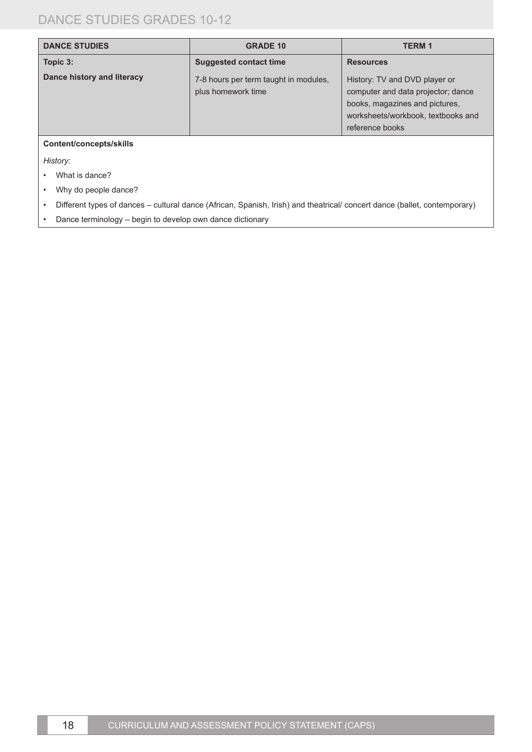| <b>DANCE STUDIES</b>              | <b>GRADE 10</b>                                             | <b>TERM 1</b>                                                                                                                                                  |
|-----------------------------------|-------------------------------------------------------------|----------------------------------------------------------------------------------------------------------------------------------------------------------------|
| Topic 3:                          | <b>Suggested contact time</b>                               | <b>Resources</b>                                                                                                                                               |
| <b>Dance history and literacy</b> | 7-8 hours per term taught in modules,<br>plus homework time | History: TV and DVD player or<br>computer and data projector; dance<br>books, magazines and pictures,<br>worksheets/workbook, textbooks and<br>reference books |

*History:*

- What is dance?
- • Why do people dance?
- • Different types of dances cultural dance (African, Spanish, Irish) and theatrical/ concert dance (ballet, contemporary)
- • Dance terminology begin to develop own dance dictionary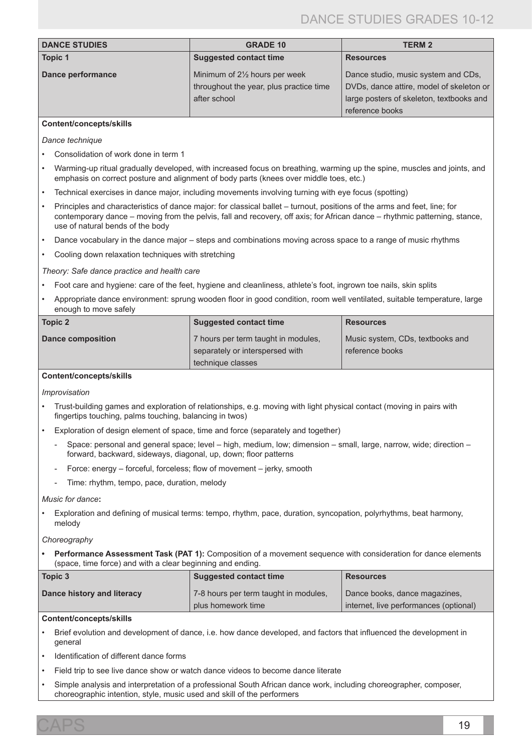| <b>DANCE STUDIES</b> | <b>GRADE 10</b>                                                                       | <b>TERM 2</b>                                                                   |
|----------------------|---------------------------------------------------------------------------------------|---------------------------------------------------------------------------------|
| <b>Topic 1</b>       | <b>Suggested contact time</b>                                                         | <b>Resources</b>                                                                |
| Dance performance    | Minimum of 2 <sup>1/2</sup> hours per week<br>throughout the year, plus practice time | Dance studio, music system and CDs,<br>DVDs, dance attire, model of skeleton or |
|                      | after school                                                                          | large posters of skeleton, textbooks and                                        |
|                      |                                                                                       | reference books                                                                 |

*Dance technique*

- Consolidation of work done in term 1
- Warming-up ritual gradually developed, with increased focus on breathing, warming up the spine, muscles and joints, and emphasis on correct posture and alignment of body parts (knees over middle toes, etc.)
- Technical exercises in dance major, including movements involving turning with eye focus (spotting)
- Principles and characteristics of dance major: for classical ballet turnout, positions of the arms and feet, line; for contemporary dance – moving from the pelvis, fall and recovery, off axis; for African dance – rhythmic patterning, stance, use of natural bends of the body
- Dance vocabulary in the dance major steps and combinations moving across space to a range of music rhythms
- Cooling down relaxation techniques with stretching

*Theory: Safe dance practice and health care*

- Foot care and hygiene: care of the feet, hygiene and cleanliness, athlete's foot, ingrown toe nails, skin splits
- Appropriate dance environment: sprung wooden floor in good condition, room well ventilated, suitable temperature, large enough to move safely

| Topic 2           | <b>Suggested contact time</b>       | <b>Resources</b>                 |
|-------------------|-------------------------------------|----------------------------------|
| Dance composition | 7 hours per term taught in modules, | Music system, CDs, textbooks and |
|                   | separately or interspersed with     | reference books                  |
|                   | technique classes                   |                                  |

#### **Content/concepts/skills**

*Improvisation*

- Trust-building games and exploration of relationships, e.g. moving with light physical contact (moving in pairs with fingertips touching, palms touching, balancing in twos)
- Exploration of design element of space, time and force (separately and together)
	- Space: personal and general space; level high, medium, low; dimension small, large, narrow, wide; direction forward, backward, sideways, diagonal, up, down; floor patterns
	- Force: energy forceful, forceless; flow of movement jerky, smooth
	- Time: rhythm, tempo, pace, duration, melody

*Music for dance***:** 

Exploration and defining of musical terms: tempo, rhythm, pace, duration, syncopation, polyrhythms, beat harmony, melody

*Choreography*

**Performance Assessment Task (PAT 1):** Composition of a movement sequence with consideration for dance elements (space, time force) and with a clear beginning and ending.

| Topic 3                    | <b>Suggested contact time</b>         | <b>Resources</b>                       |
|----------------------------|---------------------------------------|----------------------------------------|
| Dance history and literacy | 7-8 hours per term taught in modules. | Dance books, dance magazines,          |
|                            | plus homework time                    | internet, live performances (optional) |

#### **Content/concepts/skills**

- Brief evolution and development of dance, i.e. how dance developed, and factors that influenced the development in general
- Identification of different dance forms
- Field trip to see live dance show or watch dance videos to become dance literate
- Simple analysis and interpretation of a professional South African dance work, including choreographer, composer, choreographic intention, style, music used and skill of the performers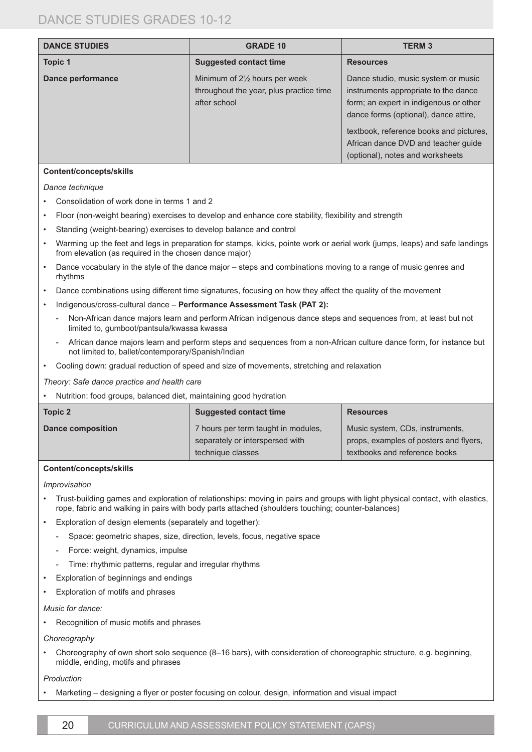| <b>DANCE STUDIES</b> | <b>GRADE 10</b>                                                                                       | <b>TERM3</b>                                                                                                                                                                                                                                                                         |
|----------------------|-------------------------------------------------------------------------------------------------------|--------------------------------------------------------------------------------------------------------------------------------------------------------------------------------------------------------------------------------------------------------------------------------------|
| Topic 1              | <b>Suggested contact time</b>                                                                         | <b>Resources</b>                                                                                                                                                                                                                                                                     |
| Dance performance    | Minimum of 2 <sup>1/2</sup> hours per week<br>throughout the year, plus practice time<br>after school | Dance studio, music system or music<br>instruments appropriate to the dance<br>form; an expert in indigenous or other<br>dance forms (optional), dance attire,<br>textbook, reference books and pictures,<br>African dance DVD and teacher guide<br>(optional), notes and worksheets |

*Dance technique*

- Consolidation of work done in terms 1 and 2
- Floor (non-weight bearing) exercises to develop and enhance core stability, flexibility and strength
- Standing (weight-bearing) exercises to develop balance and control
- Warming up the feet and legs in preparation for stamps, kicks, pointe work or aerial work (jumps, leaps) and safe landings from elevation (as required in the chosen dance major)
- Dance vocabulary in the style of the dance major steps and combinations moving to a range of music genres and rhythms
- Dance combinations using different time signatures, focusing on how they affect the quality of the movement
- Indigenous/cross-cultural dance Performance Assessment Task (PAT 2):
	- Non-African dance majors learn and perform African indigenous dance steps and sequences from, at least but not limited to, gumboot/pantsula/kwassa kwassa
	- African dance majors learn and perform steps and sequences from a non-African culture dance form, for instance but not limited to, ballet/contemporary/Spanish/Indian
- Cooling down: gradual reduction of speed and size of movements, stretching and relaxation

*Theory: Safe dance practice and health care*

• Nutrition: food groups, balanced diet, maintaining good hydration

| Topic 2           | <b>Suggested contact time</b>                                          | <b>Resources</b>                                                          |
|-------------------|------------------------------------------------------------------------|---------------------------------------------------------------------------|
| Dance composition | 7 hours per term taught in modules,<br>separately or interspersed with | Music system, CDs, instruments,<br>props, examples of posters and flyers, |
|                   | technique classes                                                      | textbooks and reference books                                             |

#### **Content/concepts/skills**

*Improvisation*

- Trust-building games and exploration of relationships: moving in pairs and groups with light physical contact, with elastics, rope, fabric and walking in pairs with body parts attached (shoulders touching; counter-balances)
- Exploration of design elements (separately and together):
	- Space: geometric shapes, size, direction, levels, focus, negative space
	- Force: weight, dynamics, impulse
	- Time: rhythmic patterns, regular and irregular rhythms
- Exploration of beginnings and endings
- Exploration of motifs and phrases

#### *Music for dance:*

Recognition of music motifs and phrases

#### *Choreography*

Choreography of own short solo sequence (8–16 bars), with consideration of choreographic structure, e.g. beginning, middle, ending, motifs and phrases

#### *Production*

Marketing – designing a flyer or poster focusing on colour, design, information and visual impact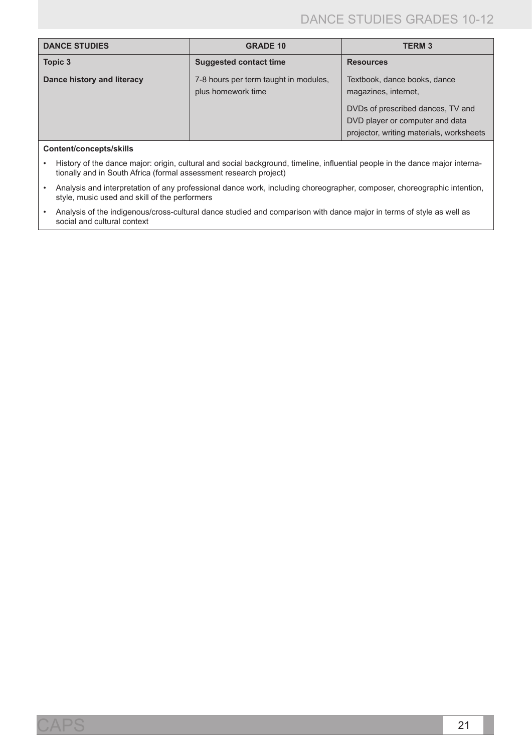| <b>DANCE STUDIES</b>       | <b>GRADE 10</b>                                             | <b>TERM3</b>                                                                                                                                                             |
|----------------------------|-------------------------------------------------------------|--------------------------------------------------------------------------------------------------------------------------------------------------------------------------|
| Topic 3                    | <b>Suggested contact time</b>                               | <b>Resources</b>                                                                                                                                                         |
| Dance history and literacy | 7-8 hours per term taught in modules,<br>plus homework time | Textbook, dance books, dance<br>magazines, internet,<br>DVDs of prescribed dances, TV and<br>DVD player or computer and data<br>projector, writing materials, worksheets |

#### **Content/concepts/skills**

- • History of the dance major: origin, cultural and social background, timeline, influential people in the dance major internationally and in South Africa (formal assessment research project)
- • Analysis and interpretation of any professional dance work, including choreographer, composer, choreographic intention, style, music used and skill of the performers
- • Analysis of the indigenous/cross-cultural dance studied and comparison with dance major in terms of style as well as social and cultural context

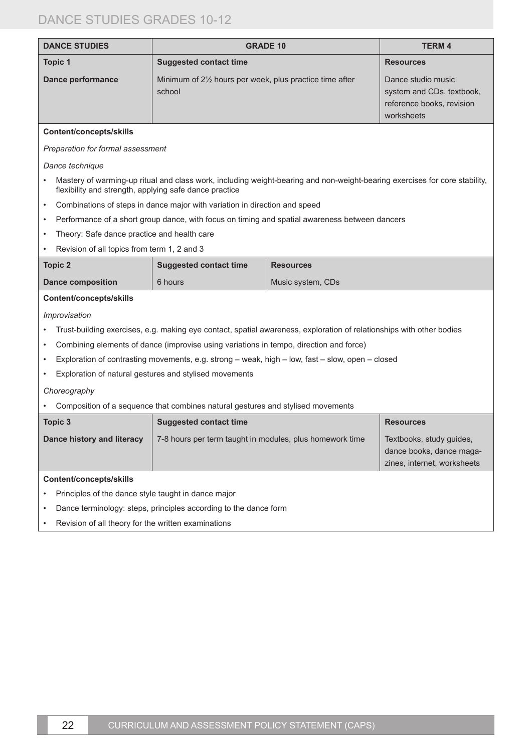| <b>DANCE STUDIES</b> | <b>GRADE 10</b>                                                                | <b>TERM4</b>                                                                               |
|----------------------|--------------------------------------------------------------------------------|--------------------------------------------------------------------------------------------|
| <b>Topic 1</b>       | <b>Suggested contact time</b>                                                  | <b>Resources</b>                                                                           |
| Dance performance    | Minimum of 2 <sup>1/2</sup> hours per week, plus practice time after<br>school | Dance studio music<br>system and CDs, textbook,<br>reference books, revision<br>worksheets |
| .                    |                                                                                |                                                                                            |

#### **Content/concepts/skills**

*Preparation for formal assessment*

*Dance technique*

- • Mastery of warming-up ritual and class work, including weight-bearing and non-weight-bearing exercises for core stability, flexibility and strength, applying safe dance practice
- • Combinations of steps in dance major with variation in direction and speed
- • Performance of a short group dance, with focus on timing and spatial awareness between dancers
- • Theory: Safe dance practice and health care
- • Revision of all topics from term 1, 2 and 3

| Topic 2           | <b>Suggested contact time</b> | <b>Resources</b>  |
|-------------------|-------------------------------|-------------------|
| Dance composition | 6 hours                       | Music system, CDs |

#### **Content/concepts/skills**

*Improvisation*

- • Trust-building exercises, e.g. making eye contact, spatial awareness, exploration of relationships with other bodies
- Combining elements of dance (improvise using variations in tempo, direction and force)
- Exploration of contrasting movements, e.g. strong weak, high low, fast slow, open closed
- • Exploration of natural gestures and stylised movements

*Choreography*

Composition of a sequence that combines natural gestures and stylised movements

| Topic 3                                                          | <b>Suggested contact time</b>                            | <b>Resources</b>                                                                    |
|------------------------------------------------------------------|----------------------------------------------------------|-------------------------------------------------------------------------------------|
| Dance history and literacy                                       | 7-8 hours per term taught in modules, plus homework time | Textbooks, study guides,<br>dance books, dance maga-<br>zines, internet, worksheets |
| Content/concepts/skills                                          |                                                          |                                                                                     |
| Principles of the dance style taught in dance major              |                                                          |                                                                                     |
| Dance terminology: steps, principles according to the dance form |                                                          |                                                                                     |
| Revision of all theory for the written examinations              |                                                          |                                                                                     |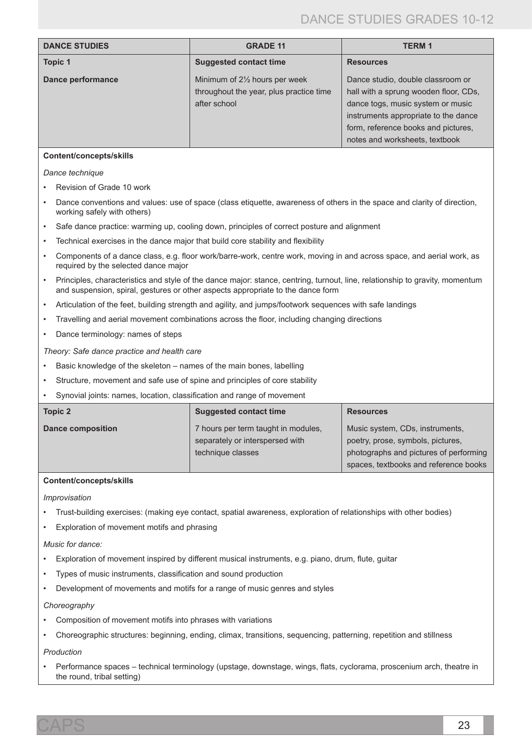| <b>DANCE STUDIES</b> | <b>GRADE 11</b>                                                                                     | <b>TERM1</b>                                                                                                                                                                                                                     |
|----------------------|-----------------------------------------------------------------------------------------------------|----------------------------------------------------------------------------------------------------------------------------------------------------------------------------------------------------------------------------------|
| <b>Topic 1</b>       | <b>Suggested contact time</b>                                                                       | <b>Resources</b>                                                                                                                                                                                                                 |
| Dance performance    | Minimum of $2\frac{1}{2}$ hours per week<br>throughout the year, plus practice time<br>after school | Dance studio, double classroom or<br>hall with a sprung wooden floor, CDs,<br>dance togs, music system or music<br>instruments appropriate to the dance<br>form, reference books and pictures,<br>notes and worksheets, textbook |

*Dance technique*

- Revision of Grade 10 work
- Dance conventions and values: use of space (class etiquette, awareness of others in the space and clarity of direction, working safely with others)
- • Safe dance practice: warming up, cooling down, principles of correct posture and alignment
- Technical exercises in the dance major that build core stability and flexibility
- Components of a dance class, e.g. floor work/barre-work, centre work, moving in and across space, and aerial work, as required by the selected dance major
- Principles, characteristics and style of the dance major: stance, centring, turnout, line, relationship to gravity, momentum and suspension, spiral, gestures or other aspects appropriate to the dance form
- Articulation of the feet, building strength and agility, and jumps/footwork sequences with safe landings
- Travelling and aerial movement combinations across the floor, including changing directions
- Dance terminology: names of steps

*Theory: Safe dance practice and health care*

- Basic knowledge of the skeleton names of the main bones, labelling
- Structure, movement and safe use of spine and principles of core stability
- Synovial joints: names, location, classification and range of movement

| Topic 2                  | <b>Suggested contact time</b>                                          | <b>Resources</b>                                                                |
|--------------------------|------------------------------------------------------------------------|---------------------------------------------------------------------------------|
| <b>Dance composition</b> | 7 hours per term taught in modules,<br>separately or interspersed with | Music system, CDs, instruments,<br>poetry, prose, symbols, pictures,            |
|                          | technique classes                                                      | photographs and pictures of performing<br>spaces, textbooks and reference books |

#### **Content/concepts/skills**

*Improvisation*

- • Trust-building exercises: (making eye contact, spatial awareness, exploration of relationships with other bodies)
- Exploration of movement motifs and phrasing

#### *Music for dance:*

- Exploration of movement inspired by different musical instruments, e.g. piano, drum, flute, guitar
- Types of music instruments, classification and sound production
- Development of movements and motifs for a range of music genres and styles

#### *Choreography*

- Composition of movement motifs into phrases with variations
- • Choreographic structures: beginning, ending, climax, transitions, sequencing, patterning, repetition and stillness

#### *Production*

Performance spaces – technical terminology (upstage, downstage, wings, flats, cyclorama, proscenium arch, theatre in the round, tribal setting)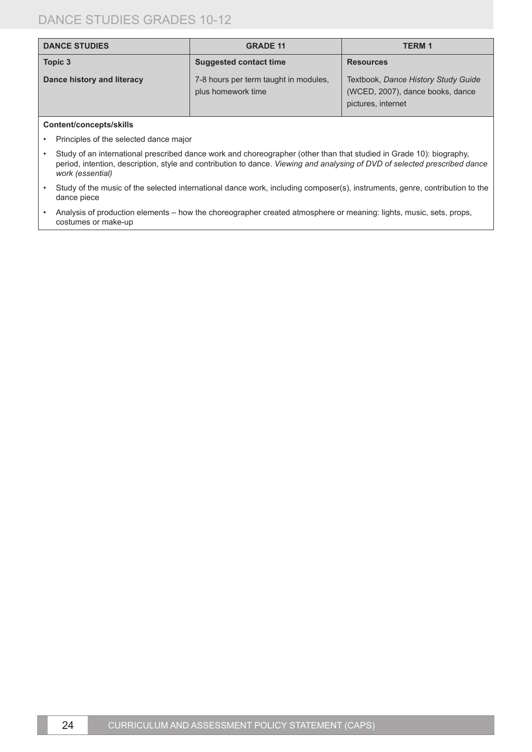| <b>DANCE STUDIES</b>       | <b>GRADE 11</b>                                             | <b>TERM1</b>                                                                                  |
|----------------------------|-------------------------------------------------------------|-----------------------------------------------------------------------------------------------|
| Topic 3                    | <b>Suggested contact time</b>                               | <b>Resources</b>                                                                              |
| Dance history and literacy | 7-8 hours per term taught in modules,<br>plus homework time | Textbook, Dance History Study Guide<br>(WCED, 2007), dance books, dance<br>pictures, internet |

#### **Content/concepts/skills**

- • Principles of the selected dance major
- • Study of an international prescribed dance work and choreographer (other than that studied in Grade 10): biography, period, intention, description, style and contribution to dance. *Viewing and analysing of DVD of selected prescribed dance work (essential)*
- • Study of the music of the selected international dance work, including composer(s), instruments, genre, contribution to the dance piece
- • Analysis of production elements how the choreographer created atmosphere or meaning: lights, music, sets, props, costumes or make-up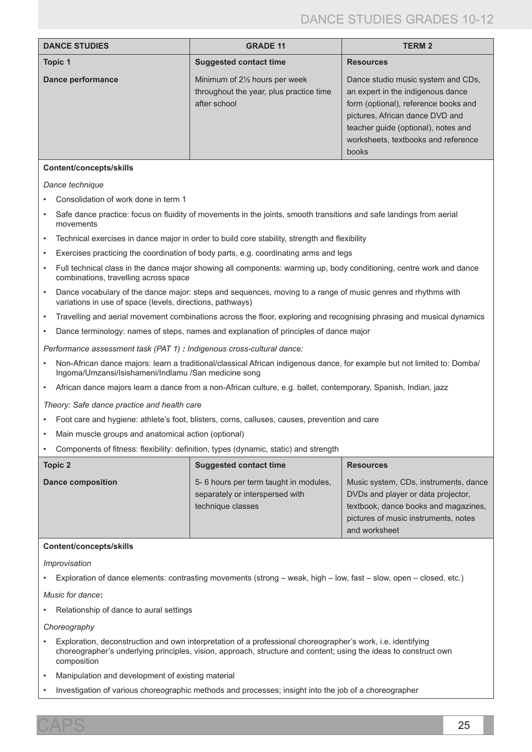| <b>DANCE STUDIES</b> | <b>GRADE 11</b>                                                                                       | <b>TERM 2</b>                                                                                                                                                                                                                             |
|----------------------|-------------------------------------------------------------------------------------------------------|-------------------------------------------------------------------------------------------------------------------------------------------------------------------------------------------------------------------------------------------|
| <b>Topic 1</b>       | <b>Suggested contact time</b>                                                                         | <b>Resources</b>                                                                                                                                                                                                                          |
| Dance performance    | Minimum of 2 <sup>1/2</sup> hours per week<br>throughout the year, plus practice time<br>after school | Dance studio music system and CDs,<br>an expert in the indigenous dance<br>form (optional), reference books and<br>pictures, African dance DVD and<br>teacher guide (optional), notes and<br>worksheets, textbooks and reference<br>books |

*Dance technique*

- Consolidation of work done in term 1
- Safe dance practice: focus on fluidity of movements in the joints, smooth transitions and safe landings from aerial movements
- Technical exercises in dance major in order to build core stability, strength and flexibility
- Exercises practicing the coordination of body parts, e.g. coordinating arms and legs
- Full technical class in the dance major showing all components: warming up, body conditioning, centre work and dance combinations, travelling across space
- • Dance vocabulary of the dance major: steps and sequences, moving to a range of music genres and rhythms with variations in use of space (levels, directions, pathways)
- Travelling and aerial movement combinations across the floor, exploring and recognising phrasing and musical dynamics
- Dance terminology: names of steps, names and explanation of principles of dance major

*Performance assessment task (PAT 1) : Indigenous cross-cultural dance:*

- Non-African dance majors: learn a traditional/classical African indigenous dance, for example but not limited to: Domba/ Ingoma/Umzansi/Isishameni/Indlamu /San medicine song
- African dance majors learn a dance from a non-African culture, e.g. ballet, contemporary, Spanish, Indian, jazz

*Theory: Safe dance practice and health care*

- Foot care and hygiene: athlete's foot, blisters, corns, calluses, causes, prevention and care
- Main muscle groups and anatomical action (optional)
- Components of fitness: flexibility: definition, types (dynamic, static) and strength

| Topic 2           | <b>Suggested contact time</b>                                                                 | <b>Resources</b>                                                                                                                                                             |
|-------------------|-----------------------------------------------------------------------------------------------|------------------------------------------------------------------------------------------------------------------------------------------------------------------------------|
| Dance composition | 5-6 hours per term taught in modules,<br>separately or interspersed with<br>technique classes | Music system, CDs, instruments, dance<br>DVDs and player or data projector,<br>textbook, dance books and magazines,<br>pictures of music instruments, notes<br>and worksheet |

#### **Content/concepts/skills**

*Improvisation* 

• Exploration of dance elements: contrasting movements (strong – weak, high – low, fast – slow, open – closed, etc.)

*Music for dance***:**

Relationship of dance to aural settings

*Choreography*

- Exploration, deconstruction and own interpretation of a professional choreographer's work, i.e. identifying choreographer's underlying principles, vision, approach, structure and content; using the ideas to construct own composition
- Manipulation and development of existing material
- Investigation of various choreographic methods and processes; insight into the job of a choreographer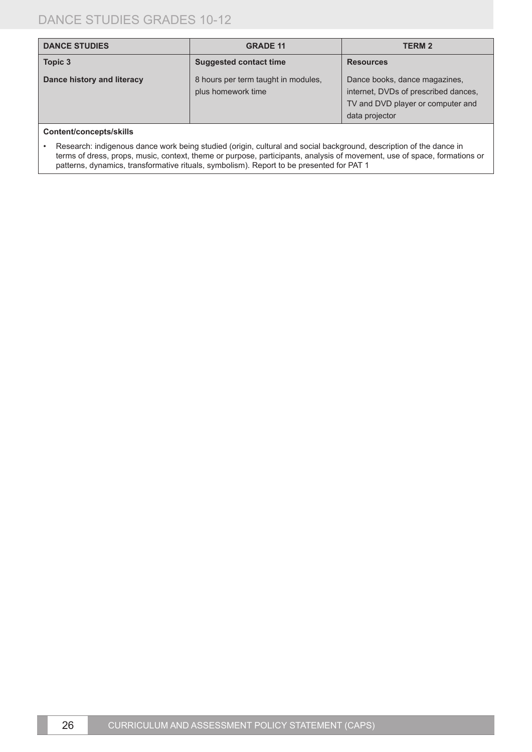| <b>DANCE STUDIES</b>       | <b>GRADE 11</b>                                           | <b>TERM 2</b>                                                                                                                |
|----------------------------|-----------------------------------------------------------|------------------------------------------------------------------------------------------------------------------------------|
| Topic 3                    | <b>Suggested contact time</b>                             | <b>Resources</b>                                                                                                             |
| Dance history and literacy | 8 hours per term taught in modules,<br>plus homework time | Dance books, dance magazines,<br>internet, DVDs of prescribed dances,<br>TV and DVD player or computer and<br>data projector |

### **Content/concepts/skills**

• Research: indigenous dance work being studied (origin, cultural and social background, description of the dance in terms of dress, props, music, context, theme or purpose, participants, analysis of movement, use of space, formations or patterns, dynamics, transformative rituals, symbolism). Report to be presented for PAT 1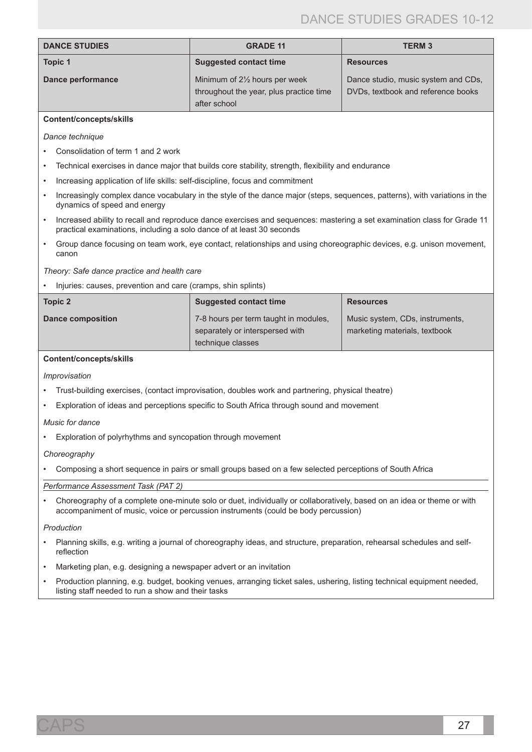| <b>DANCE STUDIES</b> | <b>GRADE 11</b>                                                                                       | <b>TERM3</b>                                                              |
|----------------------|-------------------------------------------------------------------------------------------------------|---------------------------------------------------------------------------|
| <b>Topic 1</b>       | <b>Suggested contact time</b>                                                                         | <b>Resources</b>                                                          |
| Dance performance    | Minimum of 2 <sup>1/2</sup> hours per week<br>throughout the year, plus practice time<br>after school | Dance studio, music system and CDs,<br>DVDs, textbook and reference books |

#### **Content/concepts/skills**

*Dance technique*

- Consolidation of term 1 and 2 work
- Technical exercises in dance major that builds core stability, strength, flexibility and endurance
- Increasing application of life skills: self-discipline, focus and commitment
- Increasingly complex dance vocabulary in the style of the dance major (steps, sequences, patterns), with variations in the dynamics of speed and energy
- Increased ability to recall and reproduce dance exercises and sequences: mastering a set examination class for Grade 11 practical examinations, including a solo dance of at least 30 seconds
- Group dance focusing on team work, eye contact, relationships and using choreographic devices, e.g. unison movement, canon

*Theory: Safe dance practice and health care*

• Injuries: causes, prevention and care (cramps, shin splints)

| <b>Topic 2</b>    | <b>Suggested contact time</b>                                                                 | <b>Resources</b>                                                 |
|-------------------|-----------------------------------------------------------------------------------------------|------------------------------------------------------------------|
| Dance composition | 7-8 hours per term taught in modules.<br>separately or interspersed with<br>technique classes | Music system, CDs, instruments,<br>marketing materials, textbook |

#### **Content/concepts/skills**

*Improvisation*

- Trust-building exercises, (contact improvisation, doubles work and partnering, physical theatre)
- Exploration of ideas and perceptions specific to South Africa through sound and movement

#### *Music for dance*

• Exploration of polyrhythms and syncopation through movement

#### *Choreography*

• Composing a short sequence in pairs or small groups based on a few selected perceptions of South Africa

#### *Performance Assessment Task (PAT 2)*

Choreography of a complete one-minute solo or duet, individually or collaboratively, based on an idea or theme or with accompaniment of music, voice or percussion instruments (could be body percussion)

#### *Production*

- Planning skills, e.g. writing a journal of choreography ideas, and structure, preparation, rehearsal schedules and selfreflection
- Marketing plan, e.g. designing a newspaper advert or an invitation
- Production planning, e.g. budget, booking venues, arranging ticket sales, ushering, listing technical equipment needed, listing staff needed to run a show and their tasks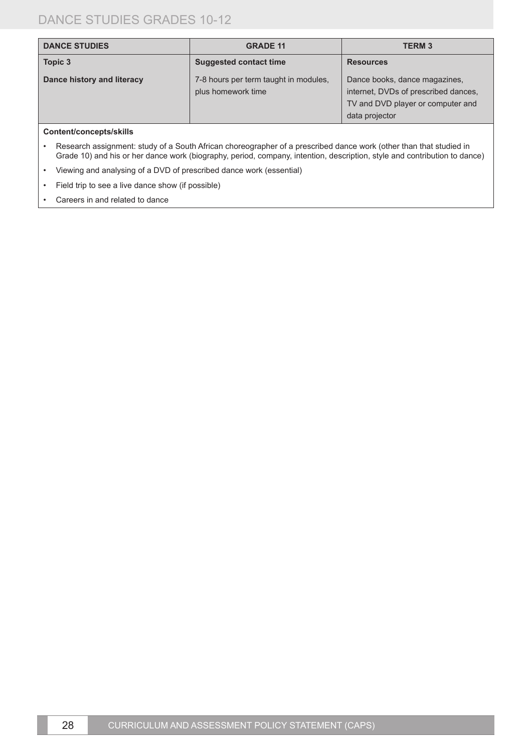| <b>DANCE STUDIES</b>       | <b>GRADE 11</b>                                             | <b>TERM3</b>                                                                                                                 |
|----------------------------|-------------------------------------------------------------|------------------------------------------------------------------------------------------------------------------------------|
| Topic 3                    | <b>Suggested contact time</b>                               | <b>Resources</b>                                                                                                             |
| Dance history and literacy | 7-8 hours per term taught in modules,<br>plus homework time | Dance books, dance magazines,<br>internet, DVDs of prescribed dances,<br>TV and DVD player or computer and<br>data projector |

#### **Content/concepts/skills**

- • Research assignment: study of a South African choreographer of a prescribed dance work (other than that studied in Grade 10) and his or her dance work (biography, period, company, intention, description, style and contribution to dance)
- • Viewing and analysing of a DVD of prescribed dance work (essential)
- • Field trip to see a live dance show (if possible)
- Careers in and related to dance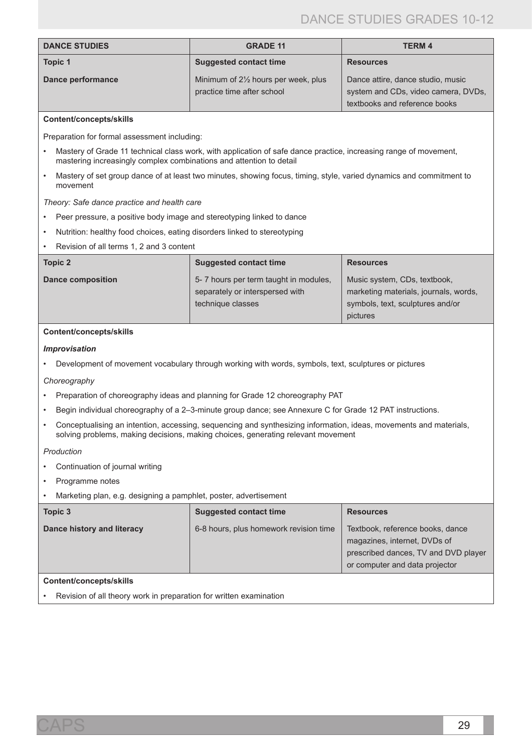| <b>DANCE STUDIES</b> | <b>GRADE 11</b>                                                              | <b>TERM 4</b>                                                                                             |
|----------------------|------------------------------------------------------------------------------|-----------------------------------------------------------------------------------------------------------|
| <b>Topic 1</b>       | <b>Suggested contact time</b>                                                | <b>Resources</b>                                                                                          |
| Dance performance    | Minimum of $2\frac{1}{2}$ hours per week, plus<br>practice time after school | Dance attire, dance studio, music<br>system and CDs, video camera, DVDs,<br>textbooks and reference books |

#### **Content/concepts/skills**

Preparation for formal assessment including:

- Mastery of Grade 11 technical class work, with application of safe dance practice, increasing range of movement, mastering increasingly complex combinations and attention to detail
- Mastery of set group dance of at least two minutes, showing focus, timing, style, varied dynamics and commitment to movement

*Theory: Safe dance practice and health care*

- Peer pressure, a positive body image and stereotyping linked to dance
- Nutrition: healthy food choices, eating disorders linked to stereotyping
- Revision of all terms 1, 2 and 3 content

| <b>Topic 2</b>           | <b>Suggested contact time</b>                                                                 | <b>Resources</b>                                                                                          |
|--------------------------|-----------------------------------------------------------------------------------------------|-----------------------------------------------------------------------------------------------------------|
| <b>Dance composition</b> | 5-7 hours per term taught in modules,<br>separately or interspersed with<br>technique classes | Music system, CDs, textbook,<br>marketing materials, journals, words,<br>symbols, text, sculptures and/or |
|                          |                                                                                               | pictures                                                                                                  |

#### **Content/concepts/skills**

*Improvisation*

• Development of movement vocabulary through working with words, symbols, text, sculptures or pictures

*Choreography*

- • Preparation of choreography ideas and planning for Grade 12 choreography PAT
- • Begin individual choreography of a 2–3-minute group dance; see Annexure C for Grade 12 PAT instructions.
- • Conceptualising an intention, accessing, sequencing and synthesizing information, ideas, movements and materials, solving problems, making decisions, making choices, generating relevant movement

#### *Production*

- Continuation of journal writing
- Programme notes
- Marketing plan, e.g. designing a pamphlet, poster, advertisement

| Topic 3                    | <b>Suggested contact time</b>          | <b>Resources</b>                                                                                                                           |
|----------------------------|----------------------------------------|--------------------------------------------------------------------------------------------------------------------------------------------|
| Dance history and literacy | 6-8 hours, plus homework revision time | Textbook, reference books, dance<br>magazines, internet, DVDs of<br>prescribed dances, TV and DVD player<br>or computer and data projector |
| Content/concepts/skills    |                                        |                                                                                                                                            |

Revision of all theory work in preparation for written examination

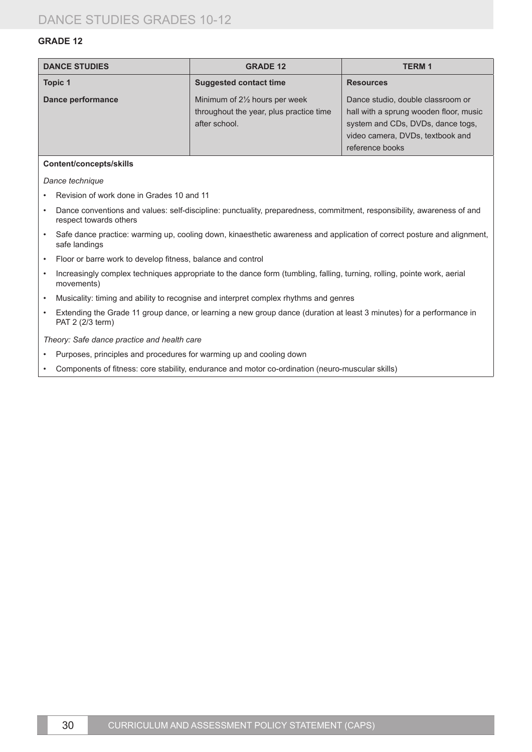# **GRADE 12**

| <b>DANCE STUDIES</b> | <b>GRADE 12</b>                                                                                      | TERM 1                                                                                                                                                                  |
|----------------------|------------------------------------------------------------------------------------------------------|-------------------------------------------------------------------------------------------------------------------------------------------------------------------------|
| Topic 1              | <b>Suggested contact time</b>                                                                        | <b>Resources</b>                                                                                                                                                        |
| Dance performance    | Minimum of $2\frac{1}{2}$ hours per week<br>throughout the year, plus practice time<br>after school. | Dance studio, double classroom or<br>hall with a sprung wooden floor, music<br>system and CDs, DVDs, dance togs,<br>video camera, DVDs, textbook and<br>reference books |

#### **Content/concepts/skills**

*Dance technique*

- • Revision of work done in Grades 10 and 11
- • Dance conventions and values: self-discipline: punctuality, preparedness, commitment, responsibility, awareness of and respect towards others
- • Safe dance practice: warming up, cooling down, kinaesthetic awareness and application of correct posture and alignment, safe landings
- Floor or barre work to develop fitness, balance and control
- • Increasingly complex techniques appropriate to the dance form (tumbling, falling, turning, rolling, pointe work, aerial movements)
- • Musicality: timing and ability to recognise and interpret complex rhythms and genres
- • Extending the Grade 11 group dance, or learning a new group dance (duration at least 3 minutes) for a performance in PAT 2 (2/3 term)

*Theory: Safe dance practice and health care*

- • Purposes, principles and procedures for warming up and cooling down
- Components of fitness: core stability, endurance and motor co-ordination (neuro-muscular skills)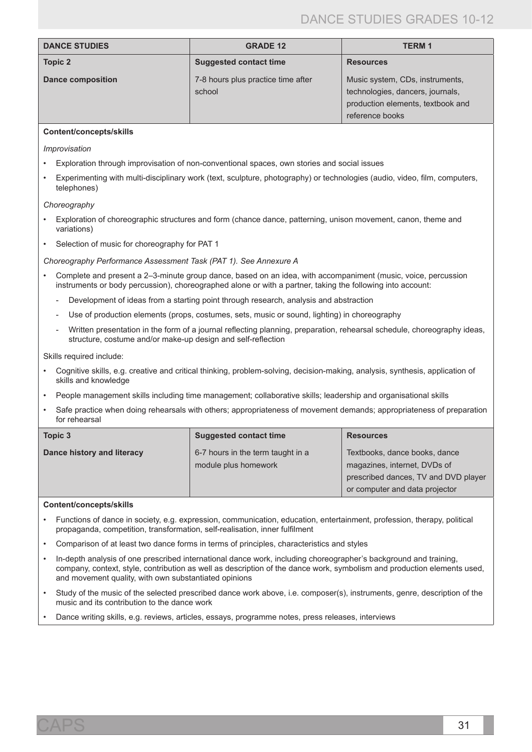| <b>DANCE STUDIES</b> | <b>GRADE 12</b>                              | <b>TERM 1</b>                                                                                                               |
|----------------------|----------------------------------------------|-----------------------------------------------------------------------------------------------------------------------------|
| Topic 2              | <b>Suggested contact time</b>                | <b>Resources</b>                                                                                                            |
| Dance composition    | 7-8 hours plus practice time after<br>school | Music system, CDs, instruments,<br>technologies, dancers, journals,<br>production elements, textbook and<br>reference books |

#### **Content/concepts/skills**

*Improvisation*

- Exploration through improvisation of non-conventional spaces, own stories and social issues
- Experimenting with multi-disciplinary work (text, sculpture, photography) or technologies (audio, video, film, computers, telephones)

*Choreography*

- Exploration of choreographic structures and form (chance dance, patterning, unison movement, canon, theme and variations)
- • Selection of music for choreography for PAT 1

#### *Choreography Performance Assessment Task (PAT 1). See Annexure A*

- Complete and present a 2–3-minute group dance, based on an idea, with accompaniment (music, voice, percussion instruments or body percussion), choreographed alone or with a partner, taking the following into account:
	- Development of ideas from a starting point through research, analysis and abstraction
	- Use of production elements (props, costumes, sets, music or sound, lighting) in choreography
	- Written presentation in the form of a journal reflecting planning, preparation, rehearsal schedule, choreography ideas, structure, costume and/or make-up design and self-reflection

Skills required include:

- Cognitive skills, e.g. creative and critical thinking, problem-solving, decision-making, analysis, synthesis, application of skills and knowledge
- People management skills including time management; collaborative skills; leadership and organisational skills
- Safe practice when doing rehearsals with others; appropriateness of movement demands; appropriateness of preparation for rehearsal

| Topic 3                    | <b>Suggested contact time</b>                             | <b>Resources</b>                                                                                      |
|----------------------------|-----------------------------------------------------------|-------------------------------------------------------------------------------------------------------|
| Dance history and literacy | 6-7 hours in the term taught in a<br>module plus homework | Textbooks, dance books, dance<br>magazines, internet, DVDs of<br>prescribed dances, TV and DVD player |
|                            |                                                           | or computer and data projector                                                                        |

#### **Content/concepts/skills**

- Functions of dance in society, e.g. expression, communication, education, entertainment, profession, therapy, political propaganda, competition, transformation, self-realisation, inner fulfilment
- Comparison of at least two dance forms in terms of principles, characteristics and styles
- In-depth analysis of one prescribed international dance work, including choreographer's background and training, company, context, style, contribution as well as description of the dance work, symbolism and production elements used, and movement quality, with own substantiated opinions
- Study of the music of the selected prescribed dance work above, i.e. composer(s), instruments, genre, description of the music and its contribution to the dance work
- Dance writing skills, e.g. reviews, articles, essays, programme notes, press releases, interviews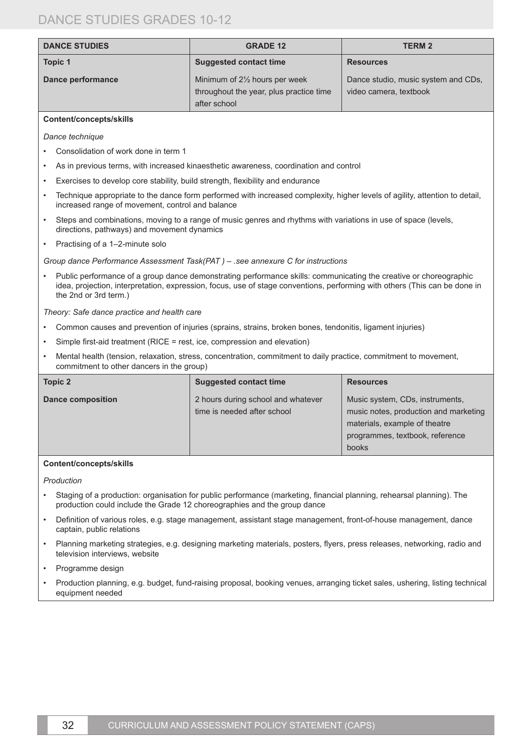| <b>DANCE STUDIES</b> | <b>GRADE 12</b>                                                                                       | <b>TERM 2</b>                                                 |
|----------------------|-------------------------------------------------------------------------------------------------------|---------------------------------------------------------------|
| Topic 1              | <b>Suggested contact time</b>                                                                         | <b>Resources</b>                                              |
| Dance performance    | Minimum of 2 <sup>1/2</sup> hours per week<br>throughout the year, plus practice time<br>after school | Dance studio, music system and CDs,<br>video camera, textbook |

#### **Content/concepts/skills**

*Dance technique*

- Consolidation of work done in term 1
- As in previous terms, with increased kinaesthetic awareness, coordination and control
- Exercises to develop core stability, build strength, flexibility and endurance
- Technique appropriate to the dance form performed with increased complexity, higher levels of agility, attention to detail, increased range of movement, control and balance
- Steps and combinations, moving to a range of music genres and rhythms with variations in use of space (levels, directions, pathways) and movement dynamics
- Practising of a 1-2-minute solo

*Group dance Performance Assessment Task(PAT ) – .see annexure C for instructions*

Public performance of a group dance demonstrating performance skills: communicating the creative or choreographic idea, projection, interpretation, expression, focus, use of stage conventions, performing with others (This can be done in the 2nd or 3rd term.)

*Theory: Safe dance practice and health care*

- • Common causes and prevention of injuries (sprains, strains, broken bones, tendonitis, ligament injuries)
- Simple first-aid treatment (RICE = rest, ice, compression and elevation)
- Mental health (tension, relaxation, stress, concentration, commitment to daily practice, commitment to movement, commitment to other dancers in the group)

| Topic 2           | <b>Suggested contact time</b>                                     | <b>Resources</b>                                                                                                                                      |
|-------------------|-------------------------------------------------------------------|-------------------------------------------------------------------------------------------------------------------------------------------------------|
| Dance composition | 2 hours during school and whatever<br>time is needed after school | Music system, CDs, instruments,<br>music notes, production and marketing<br>materials, example of theatre<br>programmes, textbook, reference<br>books |

#### **Content/concepts/skills**

*Production*

- • Staging of a production: organisation for public performance (marketing, financial planning, rehearsal planning). The production could include the Grade 12 choreographies and the group dance
- Definition of various roles, e.g. stage management, assistant stage management, front-of-house management, dance captain, public relations
- Planning marketing strategies, e.g. designing marketing materials, posters, flyers, press releases, networking, radio and television interviews, website

Programme design

Production planning, e.g. budget, fund-raising proposal, booking venues, arranging ticket sales, ushering, listing technical equipment needed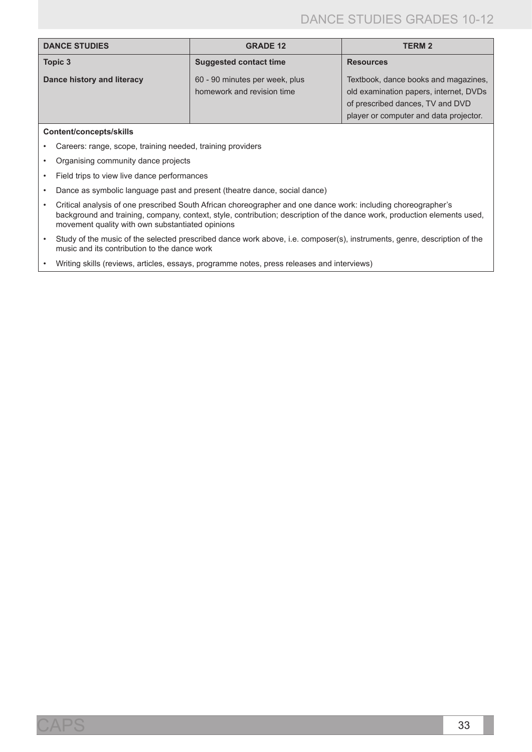| <b>DANCE STUDIES</b>       | <b>GRADE 12</b>                                              | <b>TERM 2</b>                                                                                                      |
|----------------------------|--------------------------------------------------------------|--------------------------------------------------------------------------------------------------------------------|
| Topic 3                    | <b>Suggested contact time</b>                                | <b>Resources</b>                                                                                                   |
| Dance history and literacy | 60 - 90 minutes per week, plus<br>homework and revision time | Textbook, dance books and magazines,<br>old examination papers, internet, DVDs<br>of prescribed dances, TV and DVD |
|                            |                                                              | player or computer and data projector.                                                                             |

- • Careers: range, scope, training needed, training providers
- • Organising community dance projects
- • Field trips to view live dance performances
- • Dance as symbolic language past and present (theatre dance, social dance)
- • Critical analysis of one prescribed South African choreographer and one dance work: including choreographer's background and training, company, context, style, contribution; description of the dance work, production elements used, movement quality with own substantiated opinions
- • Study of the music of the selected prescribed dance work above, i.e. composer(s), instruments, genre, description of the music and its contribution to the dance work
- • Writing skills (reviews, articles, essays, programme notes, press releases and interviews)

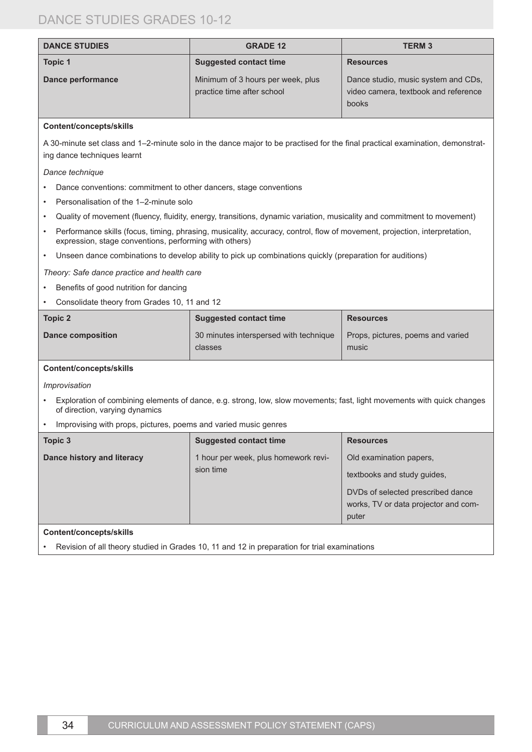| <b>DANCE STUDIES</b> | <b>GRADE 12</b>                                                 | <b>TERM3</b>                                                                         |
|----------------------|-----------------------------------------------------------------|--------------------------------------------------------------------------------------|
| Topic 1              | <b>Suggested contact time</b>                                   | <b>Resources</b>                                                                     |
| Dance performance    | Minimum of 3 hours per week, plus<br>practice time after school | Dance studio, music system and CDs,<br>video camera, textbook and reference<br>books |

#### **Content/concepts/skills**

A 30-minute set class and 1–2-minute solo in the dance major to be practised for the final practical examination, demonstrating dance techniques learnt

*Dance technique*

- • Dance conventions: commitment to other dancers, stage conventions
- • Personalisation of the 1–2-minute solo
- • Quality of movement (fluency, fluidity, energy, transitions, dynamic variation, musicality and commitment to movement)
- • Performance skills (focus, timing, phrasing, musicality, accuracy, control, flow of movement, projection, interpretation, expression, stage conventions, performing with others)
- • Unseen dance combinations to develop ability to pick up combinations quickly (preparation for auditions)

*Theory: Safe dance practice and health care*

- • Benefits of good nutrition for dancing
- • Consolidate theory from Grades 10, 11 and 12

| Topic 2           | <b>Suggested contact time</b>                     | <b>Resources</b>                           |
|-------------------|---------------------------------------------------|--------------------------------------------|
| Dance composition | 30 minutes interspersed with technique<br>classes | Props, pictures, poems and varied<br>music |

#### **Content/concepts/skills**

*Improvisation*

- • Exploration of combining elements of dance, e.g. strong, low, slow movements; fast, light movements with quick changes of direction, varying dynamics
- Improvising with props, pictures, poems and varied music genres

| Topic 3                    | <b>Suggested contact time</b>        | <b>Resources</b>                                                          |
|----------------------------|--------------------------------------|---------------------------------------------------------------------------|
| Dance history and literacy | 1 hour per week, plus homework revi- | Old examination papers,                                                   |
|                            | sion time                            | textbooks and study guides,                                               |
|                            |                                      | DVDs of selected prescribed dance<br>works, TV or data projector and com- |
|                            |                                      | puter                                                                     |
| Content/concepts/skills    |                                      |                                                                           |

Revision of all theory studied in Grades 10, 11 and 12 in preparation for trial examinations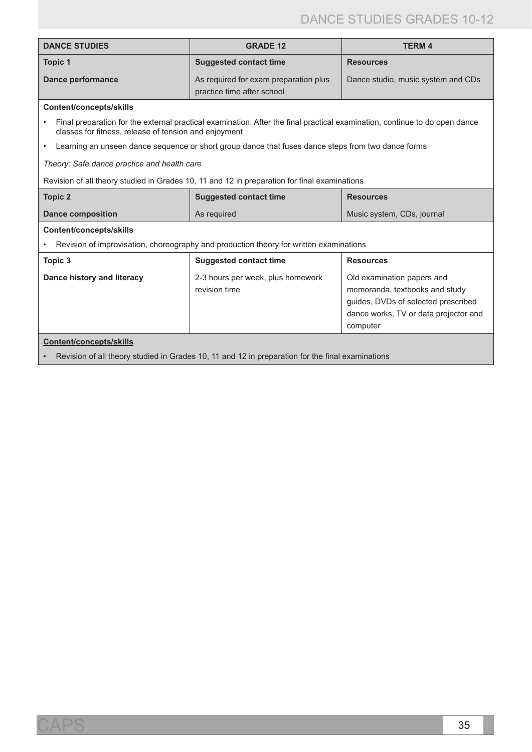| <b>DANCE STUDIES</b> | <b>GRADE 12</b>                                                     | <b>TERM4</b>                       |
|----------------------|---------------------------------------------------------------------|------------------------------------|
| Topic 1              | <b>Suggested contact time</b>                                       | <b>Resources</b>                   |
| Dance performance    | As required for exam preparation plus<br>practice time after school | Dance studio, music system and CDs |

**Content/concepts/skills**

- • Final preparation for the external practical examination. After the final practical examination, continue to do open dance classes for fitness, release of tension and enjoyment
- • Learning an unseen dance sequence or short group dance that fuses dance steps from two dance forms

*Theory: Safe dance practice and health care*

Revision of all theory studied in Grades 10, 11 and 12 in preparation for final examinations

| <b>Topic 2</b>    | <b>Suggested contact time</b> | <b>Resources</b>           |
|-------------------|-------------------------------|----------------------------|
| Dance composition | As required                   | Music system, CDs, journal |

#### **Content/concepts/skills**

• Revision of improvisation, choreography and production theory for written examinations

| Topic 3                        | <b>Suggested contact time</b>                      | <b>Resources</b>                                                                                                                                         |
|--------------------------------|----------------------------------------------------|----------------------------------------------------------------------------------------------------------------------------------------------------------|
| Dance history and literacy     | 2-3 hours per week, plus homework<br>revision time | Old examination papers and<br>memoranda, textbooks and study<br>guides, DVDs of selected prescribed<br>dance works, TV or data projector and<br>computer |
| <b>Content/concepts/skills</b> |                                                    |                                                                                                                                                          |

• Revision of all theory studied in Grades 10, 11 and 12 in preparation for the final examinations

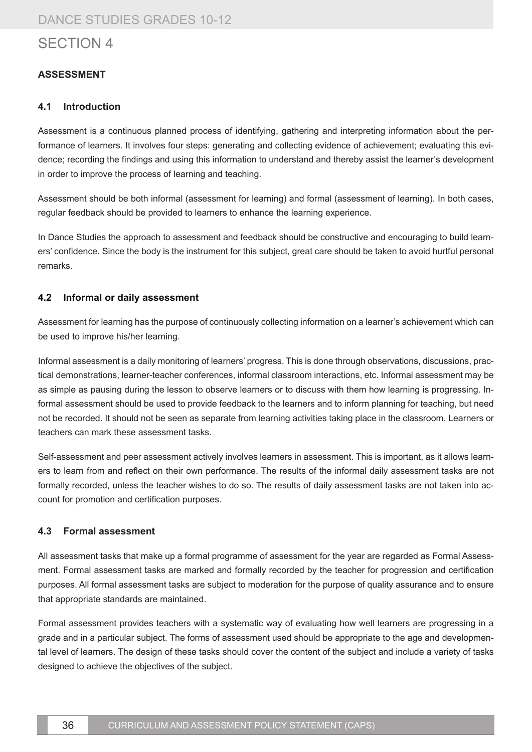# SECTION 4

# **ASSESSMENT**

# **4.1 Introduction**

Assessment is a continuous planned process of identifying, gathering and interpreting information about the performance of learners. It involves four steps: generating and collecting evidence of achievement; evaluating this evidence; recording the findings and using this information to understand and thereby assist the learner's development in order to improve the process of learning and teaching.

Assessment should be both informal (assessment for learning) and formal (assessment of learning). In both cases, regular feedback should be provided to learners to enhance the learning experience.

In Dance Studies the approach to assessment and feedback should be constructive and encouraging to build learners' confidence. Since the body is the instrument for this subject, great care should be taken to avoid hurtful personal remarks.

# **4.2 Informal or daily assessment**

Assessment for learning has the purpose of continuously collecting information on a learner's achievement which can be used to improve his/her learning.

Informal assessment is a daily monitoring of learners' progress. This is done through observations, discussions, practical demonstrations, learner-teacher conferences, informal classroom interactions, etc. Informal assessment may be as simple as pausing during the lesson to observe learners or to discuss with them how learning is progressing. Informal assessment should be used to provide feedback to the learners and to inform planning for teaching, but need not be recorded. It should not be seen as separate from learning activities taking place in the classroom. Learners or teachers can mark these assessment tasks.

Self-assessment and peer assessment actively involves learners in assessment. This is important, as it allows learners to learn from and reflect on their own performance. The results of the informal daily assessment tasks are not formally recorded, unless the teacher wishes to do so. The results of daily assessment tasks are not taken into account for promotion and certification purposes.

# **4.3 Formal assessment**

All assessment tasks that make up a formal programme of assessment for the year are regarded as Formal Assessment. Formal assessment tasks are marked and formally recorded by the teacher for progression and certification purposes. All formal assessment tasks are subject to moderation for the purpose of quality assurance and to ensure that appropriate standards are maintained.

Formal assessment provides teachers with a systematic way of evaluating how well learners are progressing in a grade and in a particular subject. The forms of assessment used should be appropriate to the age and developmental level of learners. The design of these tasks should cover the content of the subject and include a variety of tasks designed to achieve the objectives of the subject.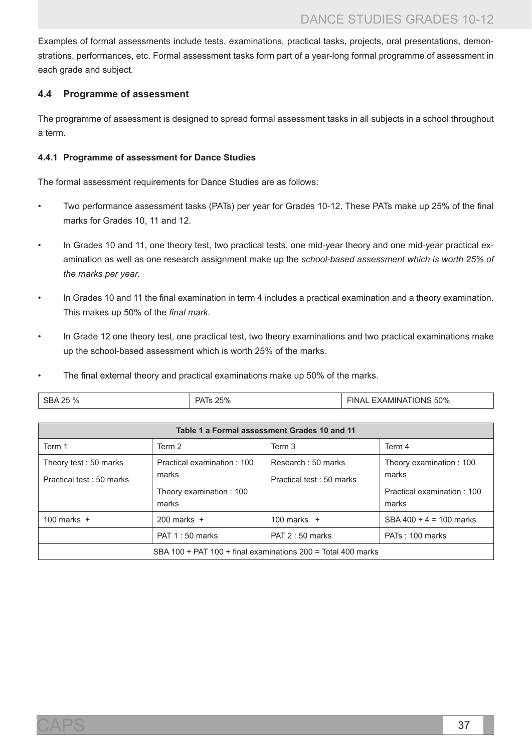Examples of formal assessments include tests, examinations, practical tasks, projects, oral presentations, demonstrations, performances, etc. Formal assessment tasks form part of a year-long formal programme of assessment in each grade and subject.

# **4.4 Programme of assessment**

The programme of assessment is designed to spread formal assessment tasks in all subjects in a school throughout a term.

### **4.4.1 Programme of assessment for Dance Studies**

The formal assessment requirements for Dance Studies are as follows:

- • Two performance assessment tasks (PATs) per year for Grades 10-12. These PATs make up 25% of the final marks for Grades 10, 11 and 12.
- In Grades 10 and 11, one theory test, two practical tests, one mid-year theory and one mid-year practical examination as well as one research assignment make up the *school-based assessment which is worth 25% of the marks per year.*
- In Grades 10 and 11 the final examination in term 4 includes a practical examination and a theory examination. This makes up 50% of the *final mark.*
- • In Grade 12 one theory test, one practical test, two theory examinations and two practical examinations make up the school-based assessment which is worth 25% of the marks.
- The final external theory and practical examinations make up 50% of the marks.

| . 25 %<br>$\cap$ r<br>SBA | $\Omega E \Omega$<br>חנ<br>20 70 | 50%<br>IONS<br>TINAL.<br>1INA.<br>∸XAMı. |
|---------------------------|----------------------------------|------------------------------------------|
|---------------------------|----------------------------------|------------------------------------------|

| Table 1 a Formal assessment Grades 10 and 11                   |                            |                          |                              |  |  |
|----------------------------------------------------------------|----------------------------|--------------------------|------------------------------|--|--|
| Term 1                                                         | Term 2                     | Term 3                   | Term 4                       |  |  |
| Theory test: 50 marks                                          | Practical examination: 100 | Research: 50 marks       | Theory examination: 100      |  |  |
| Practical test: 50 marks                                       | marks                      | Practical test: 50 marks | marks                        |  |  |
|                                                                | Theory examination: 100    |                          | Practical examination: 100   |  |  |
|                                                                | marks                      |                          | marks                        |  |  |
| 100 marks $+$                                                  | $200$ marks $+$            | 100 marks $+$            | SBA 400 $\div$ 4 = 100 marks |  |  |
|                                                                | PAT $1:50$ marks           | $PAT 2:50$ marks         | PATs: 100 marks              |  |  |
| SBA 100 + PAT 100 + final examinations $200 =$ Total 400 marks |                            |                          |                              |  |  |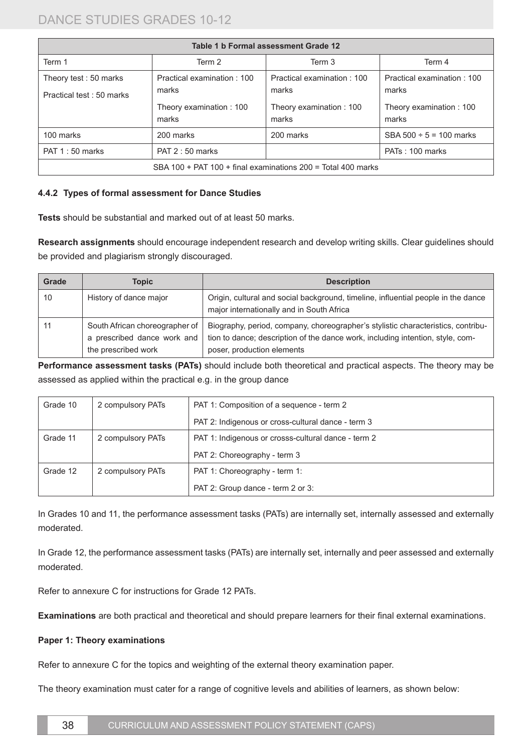| Table 1 b Formal assessment Grade 12                           |                                      |                                      |                                     |  |  |
|----------------------------------------------------------------|--------------------------------------|--------------------------------------|-------------------------------------|--|--|
| Term 1                                                         | Term 2                               | Term 3                               | Term 4                              |  |  |
| Theory test: 50 marks<br>Practical test: 50 marks              | Practical examination : 100<br>marks | Practical examination : 100<br>marks | Practical examination: 100<br>marks |  |  |
|                                                                | Theory examination: 100<br>marks     | Theory examination: 100<br>marks     | Theory examination: 100<br>marks    |  |  |
| 100 marks                                                      | 200 marks                            | 200 marks                            | SBA 500 $\div$ 5 = 100 marks        |  |  |
| PAT 1 : 50 marks                                               | PAT 2 : 50 marks                     |                                      | PATs: 100 marks                     |  |  |
| SBA 100 + PAT 100 + final examinations $200 =$ Total 400 marks |                                      |                                      |                                     |  |  |

# **4.4.2 Types of formal assessment for Dance Studies**

**Tests** should be substantial and marked out of at least 50 marks.

**Research assignments** should encourage independent research and develop writing skills. Clear guidelines should be provided and plagiarism strongly discouraged.

| <b>Grade</b> | <b>Topic</b>                                                                         | <b>Description</b>                                                                                                                                                                               |
|--------------|--------------------------------------------------------------------------------------|--------------------------------------------------------------------------------------------------------------------------------------------------------------------------------------------------|
| 10           | History of dance major                                                               | Origin, cultural and social background, timeline, influential people in the dance<br>major internationally and in South Africa                                                                   |
|              | South African choreographer of<br>a prescribed dance work and<br>the prescribed work | Biography, period, company, choreographer's stylistic characteristics, contribu-<br>tion to dance; description of the dance work, including intention, style, com-<br>poser, production elements |

**Performance assessment tasks (PATs)** should include both theoretical and practical aspects. The theory may be assessed as applied within the practical e.g. in the group dance

| Grade 10 | 2 compulsory PATs | PAT 1: Composition of a sequence - term 2           |
|----------|-------------------|-----------------------------------------------------|
|          |                   | PAT 2: Indigenous or cross-cultural dance - term 3  |
| Grade 11 | 2 compulsory PATs | PAT 1: Indigenous or crosss-cultural dance - term 2 |
|          |                   | PAT 2: Choreography - term 3                        |
| Grade 12 | 2 compulsory PATs | PAT 1: Choreography - term 1:                       |
|          |                   | PAT 2: Group dance - term 2 or 3:                   |

In Grades 10 and 11, the performance assessment tasks (PATs) are internally set, internally assessed and externally moderated.

In Grade 12, the performance assessment tasks (PATs) are internally set, internally and peer assessed and externally moderated.

Refer to annexure C for instructions for Grade 12 PATs.

**Examinations** are both practical and theoretical and should prepare learners for their final external examinations.

### **Paper 1: Theory examinations**

Refer to annexure C for the topics and weighting of the external theory examination paper.

The theory examination must cater for a range of cognitive levels and abilities of learners, as shown below: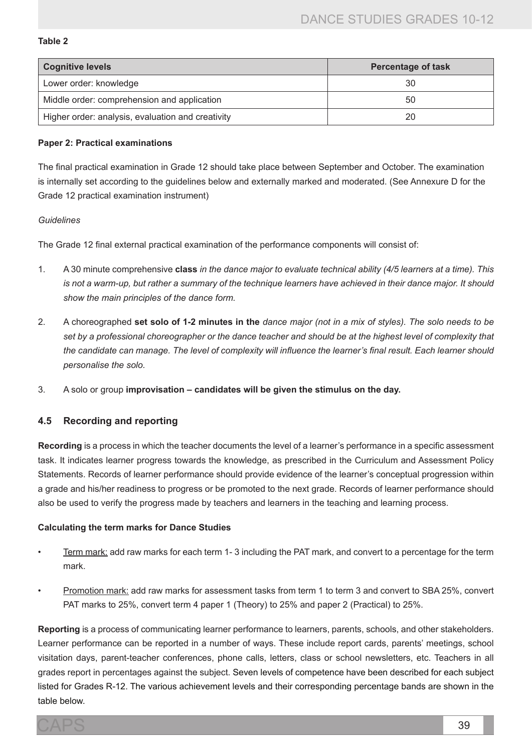**Table 2**

| <b>Cognitive levels</b>                           | <b>Percentage of task</b> |
|---------------------------------------------------|---------------------------|
| Lower order: knowledge                            | 30                        |
| Middle order: comprehension and application       | 50                        |
| Higher order: analysis, evaluation and creativity | 20                        |

### **Paper 2: Practical examinations**

The final practical examination in Grade 12 should take place between September and October. The examination is internally set according to the guidelines below and externally marked and moderated. (See Annexure D for the Grade 12 practical examination instrument)

### *Guidelines*

The Grade 12 final external practical examination of the performance components will consist of:

- 1. A 30 minute comprehensive **class** *in the dance major to evaluate technical ability (4/5 learners at a time). This*  is not a warm-up, but rather a summary of the technique learners have achieved in their dance major. It should *show the main principles of the dance form.*
- 2. A choreographed **set solo of 1-2 minutes in the** *dance major (not in a mix of styles). The solo needs to be*  set by a professional choreographer or the dance teacher and should be at the highest level of complexity that the candidate can manage. The level of complexity will influence the learner's final result. Each learner should *personalise the solo.*
- 3. A solo or group **improvisation candidates will be given the stimulus on the day.**

# **4.5 Recording and reporting**

**Recording** is a process in which the teacher documents the level of a learner's performance in a specific assessment task. It indicates learner progress towards the knowledge, as prescribed in the Curriculum and Assessment Policy Statements. Records of learner performance should provide evidence of the learner's conceptual progression within a grade and his/her readiness to progress or be promoted to the next grade. Records of learner performance should also be used to verify the progress made by teachers and learners in the teaching and learning process.

### **Calculating the term marks for Dance Studies**

- Term mark: add raw marks for each term 1- 3 including the PAT mark, and convert to a percentage for the term mark.
- Promotion mark: add raw marks for assessment tasks from term 1 to term 3 and convert to SBA 25%, convert PAT marks to 25%, convert term 4 paper 1 (Theory) to 25% and paper 2 (Practical) to 25%.

**Reporting** is a process of communicating learner performance to learners, parents, schools, and other stakeholders. Learner performance can be reported in a number of ways. These include report cards, parents' meetings, school visitation days, parent-teacher conferences, phone calls, letters, class or school newsletters, etc. Teachers in all grades report in percentages against the subject. Seven levels of competence have been described for each subject listed for Grades R-12. The various achievement levels and their corresponding percentage bands are shown in the table below.

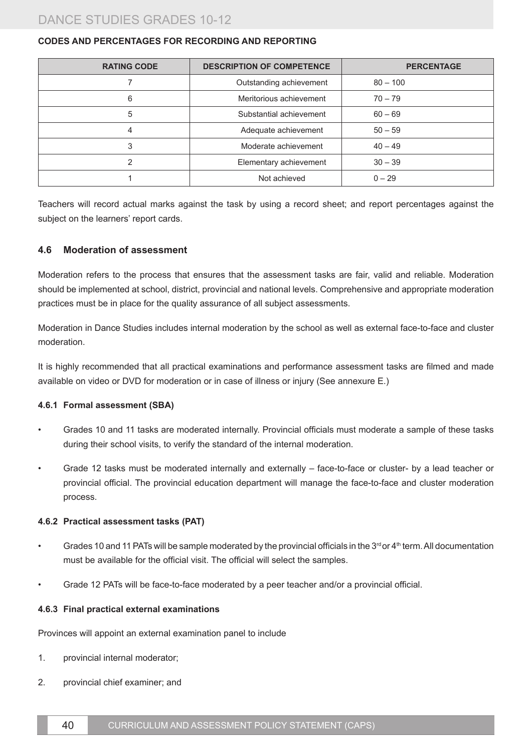| <b>RATING CODE</b> | <b>DESCRIPTION OF COMPETENCE</b> | <b>PERCENTAGE</b> |
|--------------------|----------------------------------|-------------------|
|                    | Outstanding achievement          | $80 - 100$        |
| 6                  | Meritorious achievement          | $70 - 79$         |
| 5                  | Substantial achievement          | $60 - 69$         |
|                    | Adequate achievement             | $50 - 59$         |
| 3                  | Moderate achievement             | $40 - 49$         |
| 2                  | Elementary achievement           | $30 - 39$         |
|                    | Not achieved                     | $0 - 29$          |

### **CODES AND PERCENTAGES FOR RECORDING AND REPORTING**

Teachers will record actual marks against the task by using a record sheet; and report percentages against the subject on the learners' report cards.

# **4.6 Moderation of assessment**

Moderation refers to the process that ensures that the assessment tasks are fair, valid and reliable. Moderation should be implemented at school, district, provincial and national levels. Comprehensive and appropriate moderation practices must be in place for the quality assurance of all subject assessments.

Moderation in Dance Studies includes internal moderation by the school as well as external face-to-face and cluster moderation.

It is highly recommended that all practical examinations and performance assessment tasks are filmed and made available on video or DVD for moderation or in case of illness or injury (See annexure E.)

# **4.6.1 Formal assessment (SBA)**

- Grades 10 and 11 tasks are moderated internally. Provincial officials must moderate a sample of these tasks during their school visits, to verify the standard of the internal moderation.
- Grade 12 tasks must be moderated internally and externally face-to-face or cluster- by a lead teacher or provincial official. The provincial education department will manage the face-to-face and cluster moderation process.

### **4.6.2 Practical assessment tasks (PAT)**

- Grades 10 and 11 PATs will be sample moderated by the provincial officials in the 3<sup>rd</sup> or 4<sup>th</sup> term. All documentation must be available for the official visit. The official will select the samples.
- Grade 12 PATs will be face-to-face moderated by a peer teacher and/or a provincial official.

# **4.6.3 Final practical external examinations**

Provinces will appoint an external examination panel to include

- 1. provincial internal moderator;
- 2. provincial chief examiner; and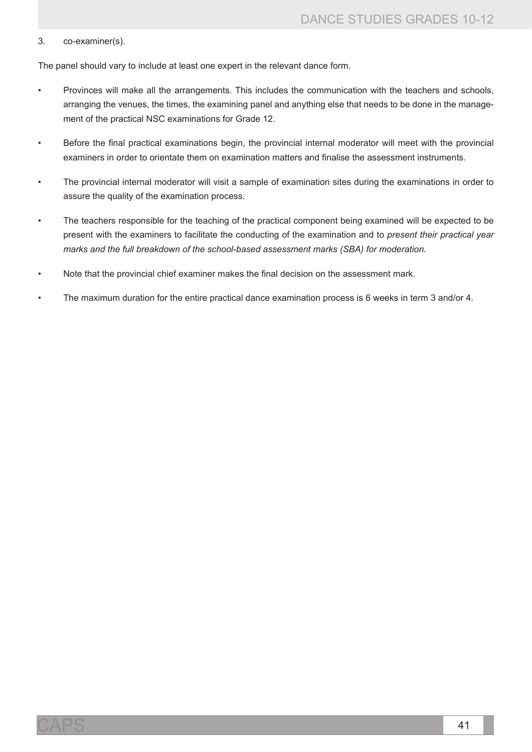#### 3. co-examiner(s).

The panel should vary to include at least one expert in the relevant dance form.

- • Provinces will make all the arrangements. This includes the communication with the teachers and schools, arranging the venues, the times, the examining panel and anything else that needs to be done in the management of the practical NSC examinations for Grade 12.
- Before the final practical examinations begin, the provincial internal moderator will meet with the provincial examiners in order to orientate them on examination matters and finalise the assessment instruments.
- The provincial internal moderator will visit a sample of examination sites during the examinations in order to assure the quality of the examination process.
- The teachers responsible for the teaching of the practical component being examined will be expected to be present with the examiners to facilitate the conducting of the examination and to *present their practical year marks and the full breakdown of the school-based assessment marks (SBA) for moderation.*
- Note that the provincial chief examiner makes the final decision on the assessment mark.
- The maximum duration for the entire practical dance examination process is 6 weeks in term 3 and/or 4.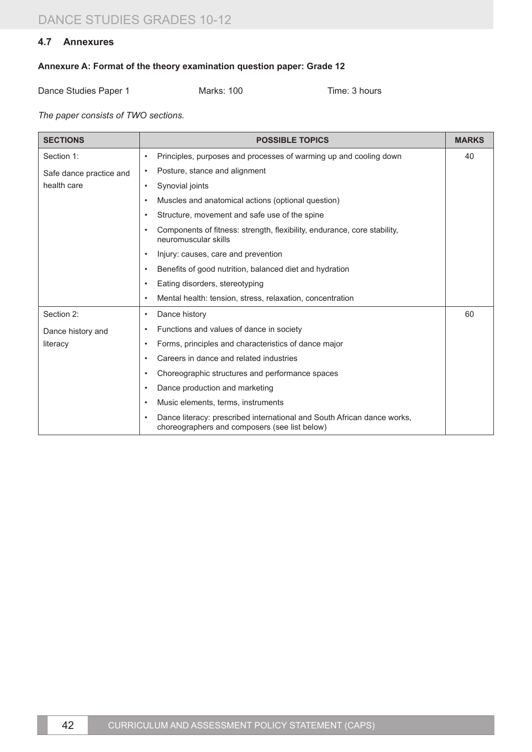# **4.7 Annexures**

# **Annexure A: Format of the theory examination question paper: Grade 12**

Dance Studies Paper 1 **Marks: 100** Time: 3 hours

*The paper consists of TWO sections.*

| <b>SECTIONS</b>         | <b>POSSIBLE TOPICS</b>                                                                                                   | <b>MARKS</b> |
|-------------------------|--------------------------------------------------------------------------------------------------------------------------|--------------|
| Section 1:              | Principles, purposes and processes of warming up and cooling down<br>$\bullet$                                           | 40           |
| Safe dance practice and | Posture, stance and alignment<br>$\bullet$                                                                               |              |
| health care             | Synovial joints<br>$\bullet$                                                                                             |              |
|                         | Muscles and anatomical actions (optional question)<br>$\bullet$                                                          |              |
|                         | Structure, movement and safe use of the spine<br>$\bullet$                                                               |              |
|                         | Components of fitness: strength, flexibility, endurance, core stability,<br>$\bullet$<br>neuromuscular skills            |              |
|                         | Injury: causes, care and prevention<br>$\bullet$                                                                         |              |
|                         | Benefits of good nutrition, balanced diet and hydration<br>$\bullet$                                                     |              |
|                         | Eating disorders, stereotyping<br>$\bullet$                                                                              |              |
|                         | Mental health: tension, stress, relaxation, concentration                                                                |              |
| Section 2:              | Dance history<br>$\bullet$                                                                                               | 60           |
| Dance history and       | Functions and values of dance in society<br>٠                                                                            |              |
| literacy                | Forms, principles and characteristics of dance major<br>$\bullet$                                                        |              |
|                         | Careers in dance and related industries<br>٠                                                                             |              |
|                         | Choreographic structures and performance spaces<br>$\bullet$                                                             |              |
|                         | Dance production and marketing<br>$\bullet$                                                                              |              |
|                         | Music elements, terms, instruments<br>$\bullet$                                                                          |              |
|                         | Dance literacy: prescribed international and South African dance works.<br>choreographers and composers (see list below) |              |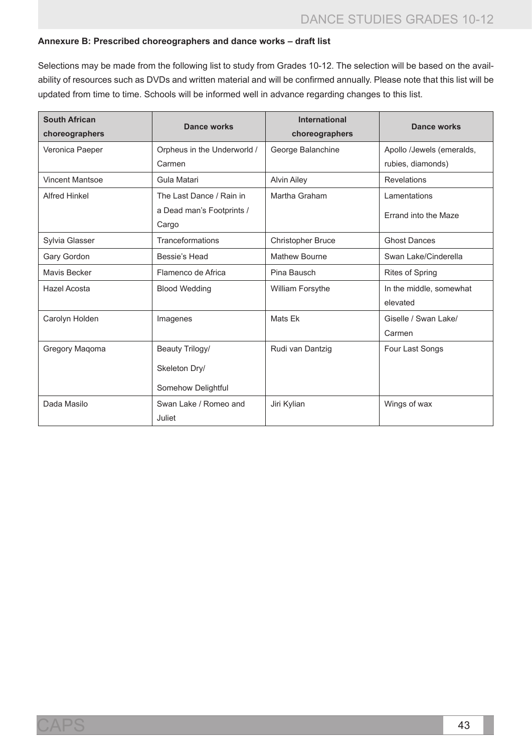### **Annexure B: Prescribed choreographers and dance works – draft list**

Selections may be made from the following list to study from Grades 10-12. The selection will be based on the availability of resources such as DVDs and written material and will be confirmed annually. Please note that this list will be updated from time to time. Schools will be informed well in advance regarding changes to this list.

| <b>South African</b><br>choreographers | <b>Dance works</b>                 | <b>International</b><br>choreographers | <b>Dance works</b>        |
|----------------------------------------|------------------------------------|----------------------------------------|---------------------------|
| Veronica Paeper                        | Orpheus in the Underworld /        | George Balanchine                      | Apollo /Jewels (emeralds, |
|                                        | Carmen                             |                                        | rubies, diamonds)         |
| <b>Vincent Mantsoe</b>                 | Gula Matari                        | <b>Alvin Ailey</b>                     | Revelations               |
| <b>Alfred Hinkel</b>                   | The Last Dance / Rain in           | Martha Graham                          | Lamentations              |
|                                        | a Dead man's Footprints /<br>Cargo |                                        | Errand into the Maze      |
| Sylvia Glasser                         | Tranceformations                   | <b>Christopher Bruce</b>               | <b>Ghost Dances</b>       |
| Gary Gordon                            | Bessie's Head                      | Mathew Bourne                          | Swan Lake/Cinderella      |
| Mavis Becker                           | Flamenco de Africa                 | Pina Bausch                            | <b>Rites of Spring</b>    |
| Hazel Acosta                           | <b>Blood Wedding</b>               | William Forsythe                       | In the middle, somewhat   |
|                                        |                                    |                                        | elevated                  |
| Carolyn Holden                         | Imagenes                           | Mats Ek                                | Giselle / Swan Lake/      |
|                                        |                                    |                                        | Carmen                    |
| Gregory Maqoma                         | Beauty Trilogy/                    | Rudi van Dantzig                       | Four Last Songs           |
|                                        | Skeleton Dry/                      |                                        |                           |
|                                        | Somehow Delightful                 |                                        |                           |
| Dada Masilo                            | Swan Lake / Romeo and<br>Juliet    | Jiri Kylian                            | Wings of wax              |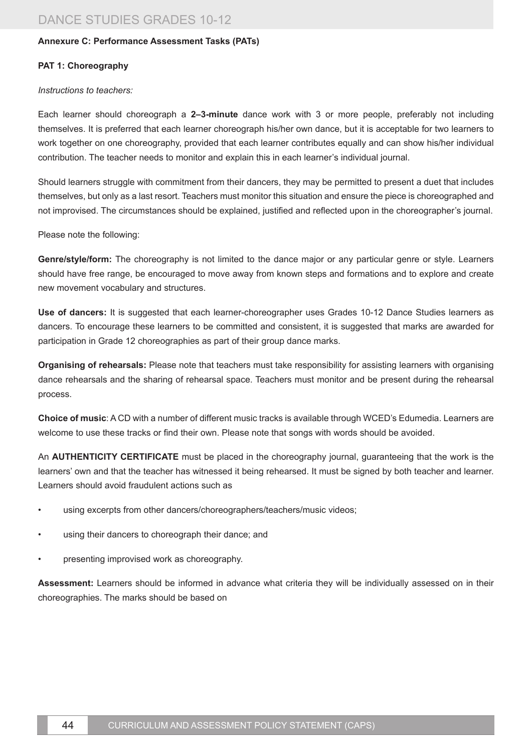### **Annexure C: Performance Assessment Tasks (PATs)**

### **PAT 1: Choreography**

### *Instructions to teachers:*

Each learner should choreograph a **2–3-minute** dance work with 3 or more people, preferably not including themselves. It is preferred that each learner choreograph his/her own dance, but it is acceptable for two learners to work together on one choreography, provided that each learner contributes equally and can show his/her individual contribution. The teacher needs to monitor and explain this in each learner's individual journal.

Should learners struggle with commitment from their dancers, they may be permitted to present a duet that includes themselves, but only as a last resort. Teachers must monitor this situation and ensure the piece is choreographed and not improvised. The circumstances should be explained, justified and reflected upon in the choreographer's journal.

Please note the following:

**Genre/style/form:** The choreography is not limited to the dance major or any particular genre or style. Learners should have free range, be encouraged to move away from known steps and formations and to explore and create new movement vocabulary and structures.

**Use of dancers:** It is suggested that each learner-choreographer uses Grades 10-12 Dance Studies learners as dancers. To encourage these learners to be committed and consistent, it is suggested that marks are awarded for participation in Grade 12 choreographies as part of their group dance marks.

**Organising of rehearsals:** Please note that teachers must take responsibility for assisting learners with organising dance rehearsals and the sharing of rehearsal space. Teachers must monitor and be present during the rehearsal process.

**Choice of music**: A CD with a number of different music tracks is available through WCED's Edumedia. Learners are welcome to use these tracks or find their own. Please note that songs with words should be avoided.

An **AUTHENTICITY CERTIFICATE** must be placed in the choreography journal, guaranteeing that the work is the learners' own and that the teacher has witnessed it being rehearsed. It must be signed by both teacher and learner. Learners should avoid fraudulent actions such as

- • using excerpts from other dancers/choreographers/teachers/music videos;
- using their dancers to choreograph their dance; and
- presenting improvised work as choreography.

**Assessment:** Learners should be informed in advance what criteria they will be individually assessed on in their choreographies. The marks should be based on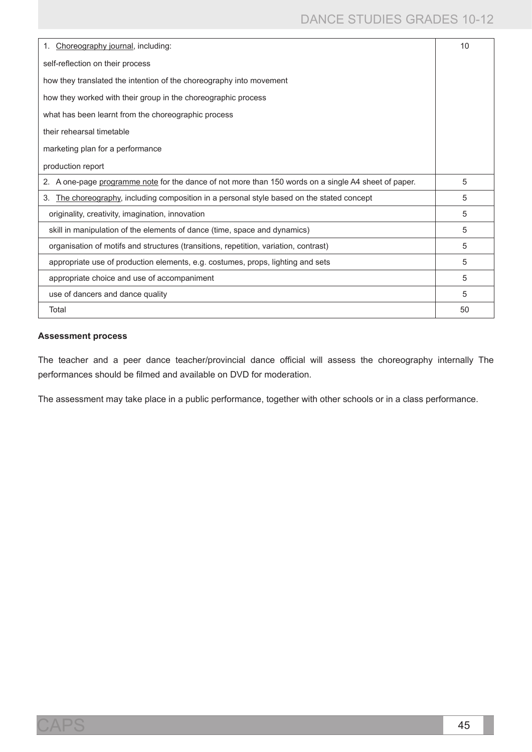| 1. Choreography journal, including:                                                                  | 10 |
|------------------------------------------------------------------------------------------------------|----|
| self-reflection on their process                                                                     |    |
| how they translated the intention of the choreography into movement                                  |    |
| how they worked with their group in the choreographic process                                        |    |
| what has been learnt from the choreographic process                                                  |    |
| their rehearsal timetable                                                                            |    |
| marketing plan for a performance                                                                     |    |
| production report                                                                                    |    |
| 2. A one-page programme note for the dance of not more than 150 words on a single A4 sheet of paper. | 5  |
| 3. The choreography, including composition in a personal style based on the stated concept           | 5  |
| originality, creativity, imagination, innovation                                                     | 5  |
| skill in manipulation of the elements of dance (time, space and dynamics)                            | 5  |
| organisation of motifs and structures (transitions, repetition, variation, contrast)                 | 5  |
| appropriate use of production elements, e.g. costumes, props, lighting and sets                      | 5  |
| appropriate choice and use of accompaniment                                                          | 5  |
| use of dancers and dance quality                                                                     | 5  |
| Total                                                                                                | 50 |

### **Assessment process**

The teacher and a peer dance teacher/provincial dance official will assess the choreography internally The performances should be filmed and available on DVD for moderation.

The assessment may take place in a public performance, together with other schools or in a class performance.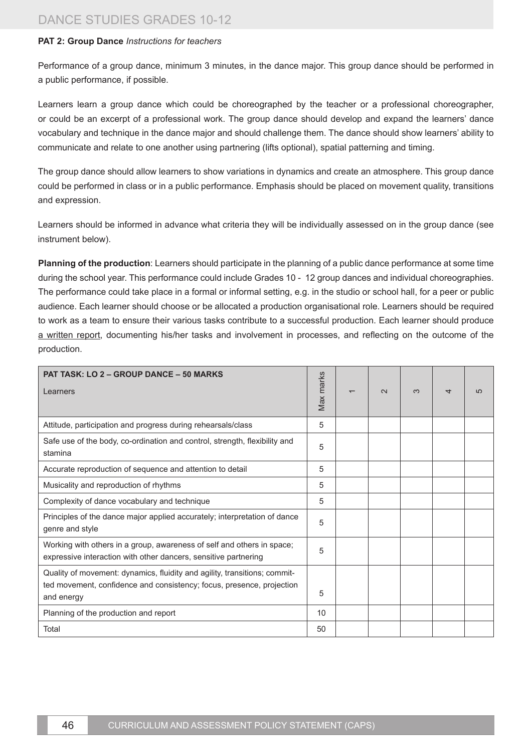### **PAT 2: Group Dance** *Instructions for teachers*

Performance of a group dance, minimum 3 minutes, in the dance major. This group dance should be performed in a public performance, if possible.

Learners learn a group dance which could be choreographed by the teacher or a professional choreographer, or could be an excerpt of a professional work. The group dance should develop and expand the learners' dance vocabulary and technique in the dance major and should challenge them. The dance should show learners' ability to communicate and relate to one another using partnering (lifts optional), spatial patterning and timing.

The group dance should allow learners to show variations in dynamics and create an atmosphere. This group dance could be performed in class or in a public performance. Emphasis should be placed on movement quality, transitions and expression.

Learners should be informed in advance what criteria they will be individually assessed on in the group dance (see instrument below).

**Planning of the production**: Learners should participate in the planning of a public dance performance at some time during the school year. This performance could include Grades 10 - 12 group dances and individual choreographies. The performance could take place in a formal or informal setting, e.g. in the studio or school hall, for a peer or public audience. Each learner should choose or be allocated a production organisational role. Learners should be required to work as a team to ensure their various tasks contribute to a successful production. Each learner should produce a written report, documenting his/her tasks and involvement in processes, and reflecting on the outcome of the production.

| <b>PAT TASK: LO 2 - GROUP DANCE - 50 MARKS</b><br>Learners                                                                                                       | Max marks | $\sim$ | $\infty$ | 4 | ιn |
|------------------------------------------------------------------------------------------------------------------------------------------------------------------|-----------|--------|----------|---|----|
| Attitude, participation and progress during rehearsals/class                                                                                                     | 5         |        |          |   |    |
| Safe use of the body, co-ordination and control, strength, flexibility and<br>stamina                                                                            | 5         |        |          |   |    |
| Accurate reproduction of sequence and attention to detail                                                                                                        | 5         |        |          |   |    |
| Musicality and reproduction of rhythms                                                                                                                           | 5         |        |          |   |    |
| Complexity of dance vocabulary and technique                                                                                                                     | 5         |        |          |   |    |
| Principles of the dance major applied accurately; interpretation of dance<br>genre and style                                                                     | 5         |        |          |   |    |
| Working with others in a group, awareness of self and others in space;<br>expressive interaction with other dancers, sensitive partnering                        | 5         |        |          |   |    |
| Quality of movement: dynamics, fluidity and agility, transitions; commit-<br>ted movement, confidence and consistency; focus, presence, projection<br>and energy | 5         |        |          |   |    |
| Planning of the production and report                                                                                                                            | 10        |        |          |   |    |
| Total                                                                                                                                                            | 50        |        |          |   |    |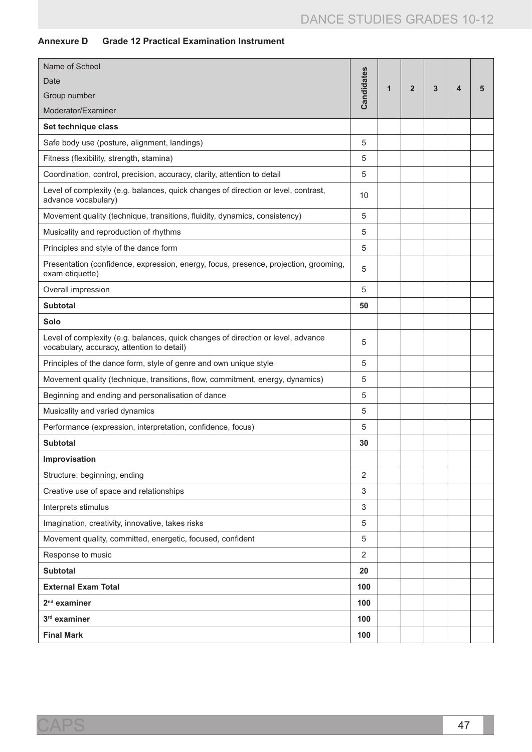### **Annexure D Grade 12 Practical Examination Instrument**

| Name of School<br>Date<br>Group number<br>Moderator/Examiner                                                                   | Candidates | $\mathbf 1$ | $\mathbf{2}$ | 3 | 4 | 5 |
|--------------------------------------------------------------------------------------------------------------------------------|------------|-------------|--------------|---|---|---|
| Set technique class                                                                                                            |            |             |              |   |   |   |
| Safe body use (posture, alignment, landings)                                                                                   | 5          |             |              |   |   |   |
| Fitness (flexibility, strength, stamina)                                                                                       | 5          |             |              |   |   |   |
| Coordination, control, precision, accuracy, clarity, attention to detail                                                       | 5          |             |              |   |   |   |
| Level of complexity (e.g. balances, quick changes of direction or level, contrast,<br>advance vocabulary)                      | 10         |             |              |   |   |   |
| Movement quality (technique, transitions, fluidity, dynamics, consistency)                                                     | 5          |             |              |   |   |   |
| Musicality and reproduction of rhythms                                                                                         | 5          |             |              |   |   |   |
| Principles and style of the dance form                                                                                         | 5          |             |              |   |   |   |
| Presentation (confidence, expression, energy, focus, presence, projection, grooming,<br>exam etiquette)                        | 5          |             |              |   |   |   |
| Overall impression                                                                                                             | 5          |             |              |   |   |   |
| <b>Subtotal</b>                                                                                                                | 50         |             |              |   |   |   |
| Solo                                                                                                                           |            |             |              |   |   |   |
| Level of complexity (e.g. balances, quick changes of direction or level, advance<br>vocabulary, accuracy, attention to detail) | 5          |             |              |   |   |   |
| Principles of the dance form, style of genre and own unique style                                                              | 5          |             |              |   |   |   |
| Movement quality (technique, transitions, flow, commitment, energy, dynamics)                                                  | 5          |             |              |   |   |   |
| Beginning and ending and personalisation of dance                                                                              | 5          |             |              |   |   |   |
| Musicality and varied dynamics                                                                                                 | 5          |             |              |   |   |   |
| Performance (expression, interpretation, confidence, focus)                                                                    | 5          |             |              |   |   |   |
| <b>Subtotal</b>                                                                                                                | 30         |             |              |   |   |   |
| Improvisation                                                                                                                  |            |             |              |   |   |   |
| Structure: beginning, ending                                                                                                   | 2          |             |              |   |   |   |
| Creative use of space and relationships                                                                                        | 3          |             |              |   |   |   |
| Interprets stimulus                                                                                                            | 3          |             |              |   |   |   |
| Imagination, creativity, innovative, takes risks                                                                               | 5          |             |              |   |   |   |
| Movement quality, committed, energetic, focused, confident                                                                     | 5          |             |              |   |   |   |
| Response to music                                                                                                              | 2          |             |              |   |   |   |
| <b>Subtotal</b>                                                                                                                | 20         |             |              |   |   |   |
| <b>External Exam Total</b>                                                                                                     | 100        |             |              |   |   |   |
| $2nd$ examiner                                                                                                                 | 100        |             |              |   |   |   |
| 3rd examiner                                                                                                                   | 100        |             |              |   |   |   |
| <b>Final Mark</b>                                                                                                              | 100        |             |              |   |   |   |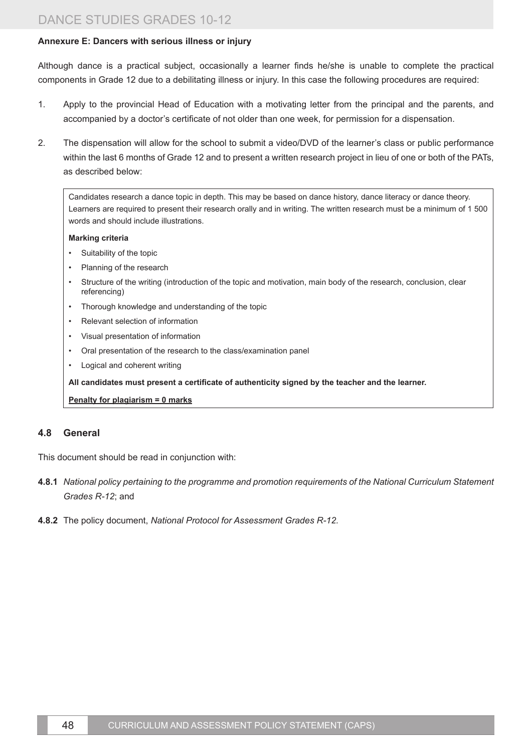### **Annexure E: Dancers with serious illness or injury**

Although dance is a practical subject, occasionally a learner finds he/she is unable to complete the practical components in Grade 12 due to a debilitating illness or injury. In this case the following procedures are required:

- 1. Apply to the provincial Head of Education with a motivating letter from the principal and the parents, and accompanied by a doctor's certificate of not older than one week, for permission for a dispensation.
- 2. The dispensation will allow for the school to submit a video/DVD of the learner's class or public performance within the last 6 months of Grade 12 and to present a written research project in lieu of one or both of the PATs, as described below:

Candidates research a dance topic in depth. This may be based on dance history, dance literacy or dance theory. Learners are required to present their research orally and in writing. The written research must be a minimum of 1 500 words and should include illustrations.

#### **Marking criteria**

- • Suitability of the topic
- • Planning of the research
- Structure of the writing (introduction of the topic and motivation, main body of the research, conclusion, clear referencing)
- • Thorough knowledge and understanding of the topic
- Relevant selection of information
- • Visual presentation of information
- Oral presentation of the research to the class/examination panel
- • Logical and coherent writing

**All candidates must present a certificate of authenticity signed by the teacher and the learner.**

**Penalty for plagiarism = 0 marks**

# **4.8 General**

This document should be read in conjunction with:

- **4.8.1** *National policy pertaining to the programme and promotion requirements of the National Curriculum Statement Grades R-12*; and
- **4.8.2** The policy document, *National Protocol for Assessment Grades R-12.*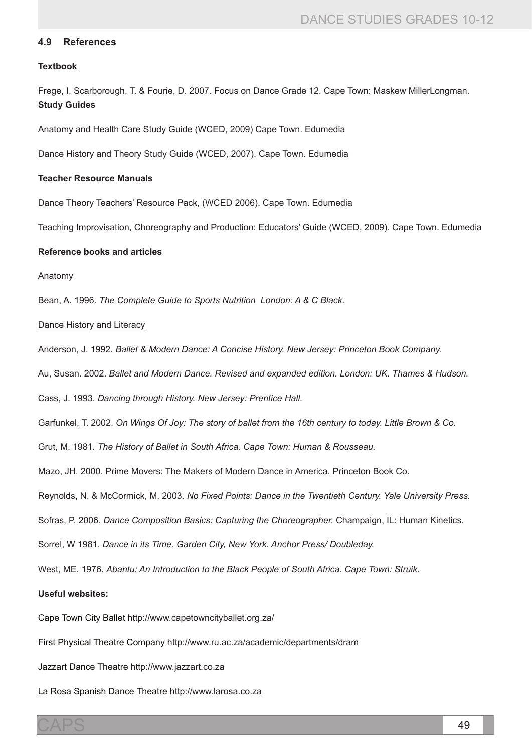#### **4.9 References**

#### **Textbook**

Frege, I, Scarborough, T. & Fourie, D. 2007. Focus on Dance Grade 12. Cape Town: Maskew MillerLongman. **Study Guides**

Anatomy and Health Care Study Guide (WCED, 2009) Cape Town. Edumedia

Dance History and Theory Study Guide (WCED, 2007). Cape Town. Edumedia

#### **Teacher Resource Manuals**

Dance Theory Teachers' Resource Pack, (WCED 2006). Cape Town. Edumedia

Teaching Improvisation, Choreography and Production: Educators' Guide (WCED, 2009). Cape Town. Edumedia

#### **Reference books and articles**

#### Anatomy

Bean, A. 1996. *The Complete Guide to Sports Nutrition London: A & C Black.*

### Dance History and Literacy

Anderson, J. 1992. *Ballet & Modern Dance: A Concise History. New Jersey: Princeton Book Company.*

Au, Susan. 2002. *Ballet and Modern Dance. Revised and expanded edition. London: UK. Thames & Hudson.*

Cass, J. 1993. *Dancing through History. New Jersey: Prentice Hall.*

Garfunkel, T. 2002. On Wings Of Joy: The story of ballet from the 16th century to today. Little Brown & Co.

Grut, M. 1981. *The History of Ballet in South Africa. Cape Town: Human & Rousseau.*

Mazo, JH. 2000. Prime Movers: The Makers of Modern Dance in America. Princeton Book Co.

Reynolds, N. & McCormick, M. 2003. *No Fixed Points: Dance in the Twentieth Century. Yale University Press.*

Sofras, P. 2006. *Dance Composition Basics: Capturing the Choreographer.* Champaign, IL: Human Kinetics.

Sorrel, W 1981. *Dance in its Time. Garden City, New York. Anchor Press/ Doubleday.*

West, ME. 1976. *Abantu: An Introduction to the Black People of South Africa. Cape Town: Struik.*

#### **Useful websites:**

Cape Town City Ballet http://www.capetowncityballet.org.za/

First Physical Theatre Company http://www.ru.ac.za/academic/departments/dram

Jazzart Dance Theatre http://www.jazzart.co.za

La Rosa Spanish Dance Theatre http://www.larosa.co.za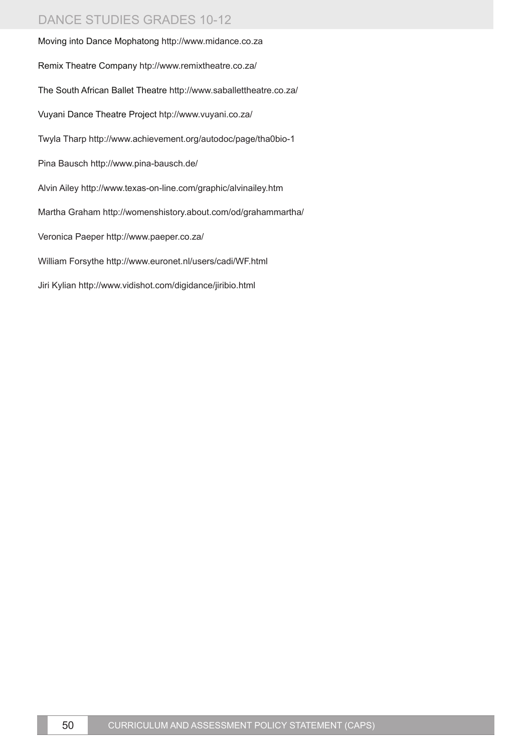Moving into Dance Mophatong http://www.midance.co.za Remix Theatre Company htp://www.remixtheatre.co.za/ The South African Ballet Theatre http://www.saballettheatre.co.za/ Vuyani Dance Theatre Project htp://www.vuyani.co.za/ Twyla Tharp http://www.achievement.org/autodoc/page/tha0bio-1 Pina Bausch http://www.pina-bausch.de/ Alvin Ailey http://www.texas-on-line.com/graphic/alvinailey.htm Martha Graham http://womenshistory.about.com/od/grahammartha/ Veronica Paeper http://www.paeper.co.za/ William Forsythe http://www.euronet.nl/users/cadi/WF.html Jiri Kylian http://www.vidishot.com/digidance/jiribio.html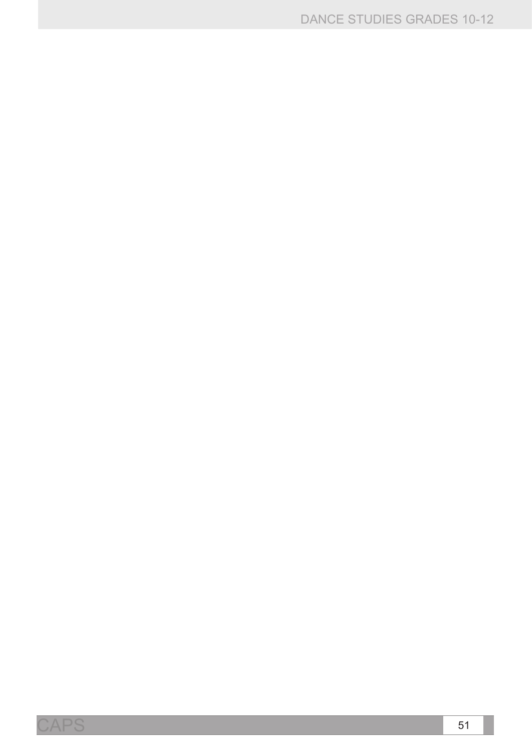